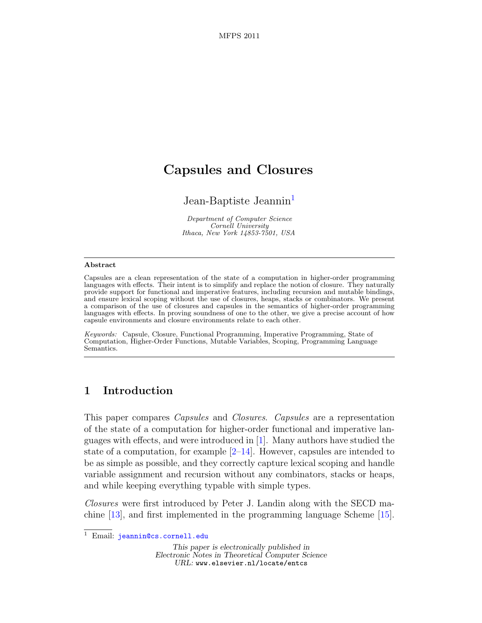# Capsules and Closures

Jean-Baptiste Jeannin<sup>[1](#page-0-0)</sup>

Department of Computer Science Cornell University Ithaca, New York 14853-7501, USA

#### <span id="page-0-0"></span>Abstract

Capsules are a clean representation of the state of a computation in higher-order programming languages with effects. Their intent is to simplify and replace the notion of closure. They naturally provide support for functional and imperative features, including recursion and mutable bindings, and ensure lexical scoping without the use of closures, heaps, stacks or combinators. We present a comparison of the use of closures and capsules in the semantics of higher-order programming languages with effects. In proving soundness of one to the other, we give a precise account of how capsule environments and closure environments relate to each other.

Keywords: Capsule, Closure, Functional Programming, Imperative Programming, State of Computation, Higher-Order Functions, Mutable Variables, Scoping, Programming Language Semantics.

## 1 Introduction

This paper compares Capsules and Closures. Capsules are a representation of the state of a computation for higher-order functional and imperative languages with effects, and were introduced in [\[1\]](#page-15-0). Many authors have studied the state of a computation, for example  $[2-14]$ . However, capsules are intended to be as simple as possible, and they correctly capture lexical scoping and handle variable assignment and recursion without any combinators, stacks or heaps, and while keeping everything typable with simple types.

Closures were first introduced by Peter J. Landin along with the SECD machine [\[13\]](#page-15-3), and first implemented in the programming language Scheme [\[15\]](#page-16-0).

This paper is electronically published in Electronic Notes in Theoretical Computer Science URL: www.elsevier.nl/locate/entcs

<sup>&</sup>lt;sup>1</sup> Email: [jeannin@cs.cornell.edu](mailto:jeannin@cs.cornell.edu)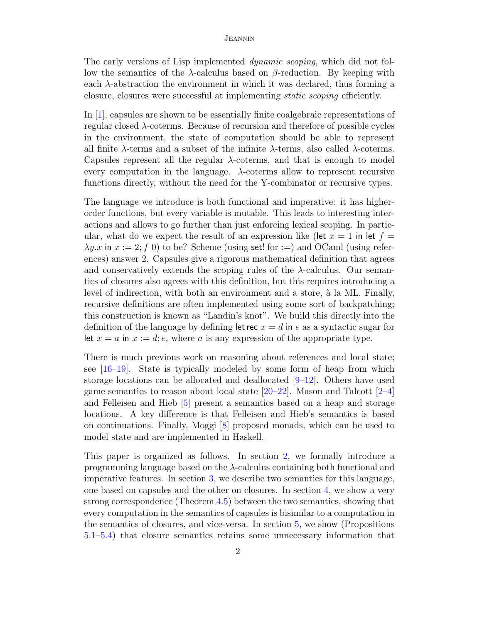The early versions of Lisp implemented dynamic scoping, which did not follow the semantics of the  $λ$ -calculus based on  $β$ -reduction. By keeping with each λ-abstraction the environment in which it was declared, thus forming a closure, closures were successful at implementing static scoping efficiently.

In [\[1\]](#page-15-0), capsules are shown to be essentially finite coalgebraic representations of regular closed  $\lambda$ -coterms. Because of recursion and therefore of possible cycles in the environment, the state of computation should be able to represent all finite  $\lambda$ -terms and a subset of the infinite  $\lambda$ -terms, also called  $\lambda$ -coterms. Capsules represent all the regular λ-coterms, and that is enough to model every computation in the language.  $\lambda$ -coterms allow to represent recursive functions directly, without the need for the Y-combinator or recursive types.

The language we introduce is both functional and imperative: it has higherorder functions, but every variable is mutable. This leads to interesting interactions and allows to go further than just enforcing lexical scoping. In particular, what do we expect the result of an expression like (let  $x = 1$  in let  $f =$  $\lambda y.x$  in  $x := 2$ ; f 0) to be? Scheme (using set! for :=) and OCaml (using references) answer 2. Capsules give a rigorous mathematical definition that agrees and conservatively extends the scoping rules of the  $\lambda$ -calculus. Our semantics of closures also agrees with this definition, but this requires introducing a level of indirection, with both an environment and a store,  $\hat{a}$  la ML. Finally, recursive definitions are often implemented using some sort of backpatching; this construction is known as "Landin's knot". We build this directly into the definition of the language by defining let rec  $x = d$  in e as a syntactic sugar for let  $x = a$  in  $x := d$ ; e, where a is any expression of the appropriate type.

There is much previous work on reasoning about references and local state; see  $[16–19]$  $[16–19]$ . State is typically modeled by some form of heap from which storage locations can be allocated and deallocated [\[9–](#page-15-4)[12\]](#page-15-5). Others have used game semantics to reason about local state  $[20-22]$  $[20-22]$ . Mason and Talcott  $[2-4]$ and Felleisen and Hieb [\[5\]](#page-15-7) present a semantics based on a heap and storage locations. A key difference is that Felleisen and Hieb's semantics is based on continuations. Finally, Moggi [\[8\]](#page-15-8) proposed monads, which can be used to model state and are implemented in Haskell.

This paper is organized as follows. In section [2,](#page-2-0) we formally introduce a programming language based on the  $\lambda$ -calculus containing both functional and imperative features. In section [3,](#page-3-0) we describe two semantics for this language, one based on capsules and the other on closures. In section [4,](#page-8-0) we show a very strong correspondence (Theorem [4.5\)](#page-9-0) between the two semantics, showing that every computation in the semantics of capsules is bisimilar to a computation in the semantics of closures, and vice-versa. In section [5,](#page-12-0) we show (Propositions [5.1–](#page-12-1)[5.4\)](#page-13-0) that closure semantics retains some unnecessary information that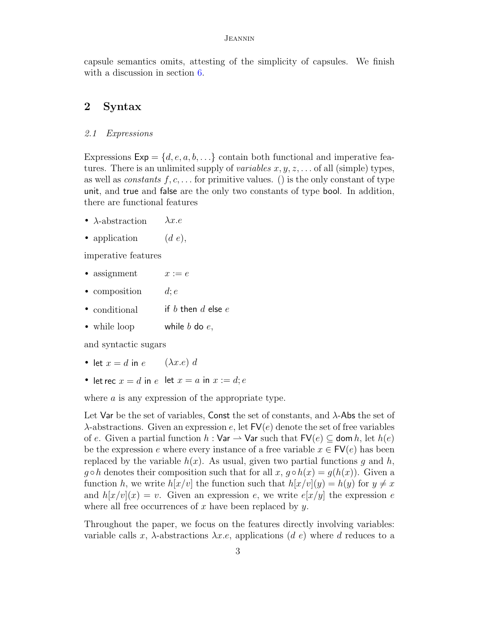capsule semantics omits, attesting of the simplicity of capsules. We finish with a discussion in section  $6$ .

## <span id="page-2-0"></span>2 Syntax

## 2.1 Expressions

Expressions  $Exp = \{d, e, a, b, \ldots\}$  contain both functional and imperative features. There is an unlimited supply of *variables*  $x, y, z, \ldots$  of all (simple) types, as well as *constants*  $f, c, \ldots$  for primitive values. () is the only constant of type unit, and true and false are the only two constants of type bool. In addition, there are functional features

- $\lambda$ -abstraction  $\lambda x.e$
- application  $(d e)$ ,

imperative features

- assignment  $x := e$
- composition  $d; e$
- conditional if b then d else  $e$
- while loop while  $b$  do  $e$ ,

and syntactic sugars

- let  $x = d$  in  $e$  ( $\lambda x.e$ ) d
- let rec  $x = d$  in  $e$  let  $x = a$  in  $x := d$ ;  $e$

where  $\alpha$  is any expression of the appropriate type.

Let Var be the set of variables, Const the set of constants, and  $\lambda$ -Abs the set of  $\lambda$ -abstractions. Given an expression e, let  $\mathsf{FV}(e)$  denote the set of free variables of e. Given a partial function  $h : \mathsf{Var} \to \mathsf{Var}$  such that  $\mathsf{FV}(e) \subseteq \mathsf{dom}\, h$ , let  $h(e)$ be the expression e where every instance of a free variable  $x \in \mathsf{FV}(e)$  has been replaced by the variable  $h(x)$ . As usual, given two partial functions g and h,  $g \circ h$  denotes their composition such that for all  $x, g \circ h(x) = g(h(x))$ . Given a function h, we write  $h[x/v]$  the function such that  $h[x/v](y) = h(y)$  for  $y \neq x$ and  $h[x/v](x) = v$ . Given an expression e, we write  $e[x/y]$  the expression e where all free occurrences of  $x$  have been replaced by  $y$ .

Throughout the paper, we focus on the features directly involving variables: variable calls x,  $\lambda$ -abstractions  $\lambda x.e$ , applications (d e) where d reduces to a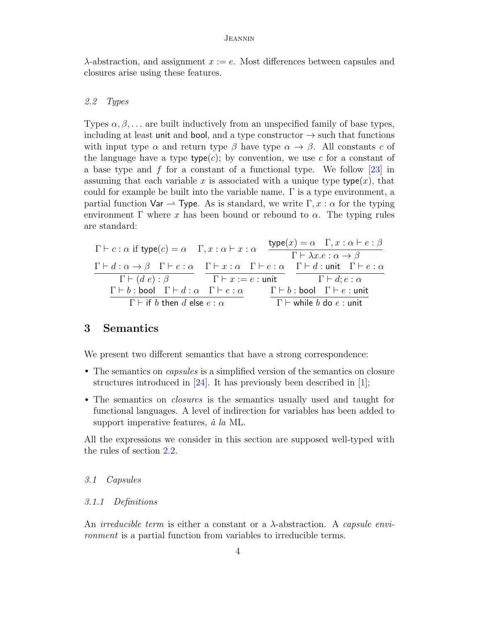$\lambda$ -abstraction, and assignment  $x := e$ . Most differences between capsules and closures arise using these features.

## <span id="page-3-1"></span>2.2 Types

Types  $\alpha, \beta, \ldots$  are built inductively from an unspecified family of base types, including at least unit and bool, and a type constructor  $\rightarrow$  such that functions with input type  $\alpha$  and return type  $\beta$  have type  $\alpha \rightarrow \beta$ . All constants c of the language have a type  $type(c)$ ; by convention, we use c for a constant of a base type and  $f$  for a constant of a functional type. We follow [\[23\]](#page-16-5) in assuming that each variable x is associated with a unique type type $(x)$ , that could for example be built into the variable name.  $\Gamma$  is a type environment, a partial function  $\forall$ ar  $\rightarrow$  Type. As is standard, we write  $\Gamma, x : \alpha$  for the typing environment  $\Gamma$  where x has been bound or rebound to  $\alpha$ . The typing rules are standard:

$$
\Gamma \vdash c : \alpha \text{ if type}(c) = \alpha \quad \Gamma, x : \alpha \vdash x : \alpha \quad \frac{\text{type}(x) = \alpha \quad \Gamma, x : \alpha \vdash e : \beta}{\Gamma \vdash \lambda x.e : \alpha \rightarrow \beta} \quad \frac{\Gamma \vdash d : \alpha \rightarrow \beta \quad \Gamma \vdash e : \alpha}{\Gamma \vdash (d \ e) : \beta} \quad \frac{\Gamma \vdash x : \alpha \quad \Gamma \vdash e : \alpha}{\Gamma \vdash x := e : \text{unit}} \quad \frac{\Gamma \vdash d : \text{unit} \quad \Gamma \vdash e : \alpha}{\Gamma \vdash d : e : \alpha} \quad \frac{\Gamma \vdash b : \text{bool} \quad \Gamma \vdash d : e : \alpha}{\Gamma \vdash b : \text{bool} \quad \Gamma \vdash e : \text{unit}} \quad \frac{\Gamma \vdash b : \text{bool} \quad \Gamma \vdash e : \text{unit}}{\Gamma \vdash \text{while } b \text{ do } e : \text{unit}}
$$

## <span id="page-3-0"></span>3 Semantics

We present two different semantics that have a strong correspondence:

- The semantics on capsules is a simplified version of the semantics on closure structures introduced in  $[24]$ . It has previously been described in  $[1]$ ;
- The semantics on *closures* is the semantics usually used and taught for functional languages. A level of indirection for variables has been added to support imperative features,  $\dot{a}$  la ML.

All the expressions we consider in this section are supposed well-typed with the rules of section [2.2.](#page-3-1)

## 3.1 Capsules

## 3.1.1 Definitions

An *irreducible term* is either a constant or a  $\lambda$ -abstraction. A *capsule envi*ronment is a partial function from variables to irreducible terms.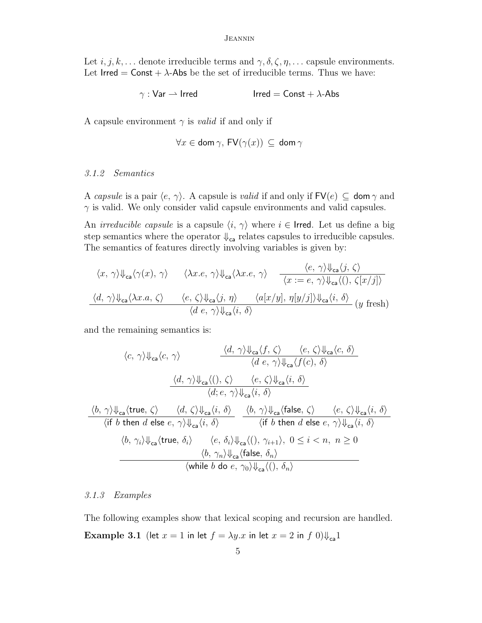Let  $i, j, k, \ldots$  denote irreducible terms and  $\gamma, \delta, \zeta, \eta, \ldots$  capsule environments. Let Irred = Const +  $\lambda$ -Abs be the set of irreducible terms. Thus we have:

$$
\gamma : \mathsf{Var} \rightharpoonup \mathsf{Irred} \qquad \qquad \mathsf{Irred} = \mathsf{Const} + \lambda \text{-} \mathsf{Abs}
$$

A capsule environment  $\gamma$  is *valid* if and only if

$$
\forall x \in \textsf{dom} \, \gamma, \, \mathsf{FV}(\gamma(x)) \, \subseteq \, \textsf{dom} \, \gamma
$$

## 3.1.2 Semantics

A capsule is a pair  $\langle e, \gamma \rangle$ . A capsule is valid if and only if  $\mathsf{FV}(e) \subseteq \mathsf{dom}\,\gamma$  and  $\gamma$  is valid. We only consider valid capsule environments and valid capsules.

An *irreducible capsule* is a capsule  $\langle i, \gamma \rangle$  where  $i \in \text{Irred.}$  Let us define a big step semantics where the operator  $\Downarrow_{\mathsf{ca}}$  relates capsules to irreducible capsules. The semantics of features directly involving variables is given by:

$$
\langle x, \gamma \rangle \Downarrow_{\text{ca}} \langle \gamma(x), \gamma \rangle \qquad \langle \lambda x. e, \gamma \rangle \Downarrow_{\text{ca}} \langle \lambda x. e, \gamma \rangle \qquad \frac{\langle e, \gamma \rangle \Downarrow_{\text{ca}} \langle j, \zeta \rangle}{\langle x := e, \gamma \rangle \Downarrow_{\text{ca}} \langle 0, \zeta[x/j] \rangle}
$$
  

$$
\frac{\langle d, \gamma \rangle \Downarrow_{\text{ca}} \langle \lambda x. a, \zeta \rangle \qquad \langle e, \zeta \rangle \Downarrow_{\text{ca}} \langle j, \eta \rangle \qquad \langle a[x/y], \eta[y/j] \rangle \Downarrow_{\text{ca}} \langle i, \delta \rangle}{\langle d \ e, \gamma \rangle \Downarrow_{\text{ca}} \langle i, \delta \rangle} (y \text{ fresh})
$$

and the remaining semantics is:

$$
\langle c, \gamma \rangle \Downarrow_{\text{ca}} \langle c, \gamma \rangle
$$
\n
$$
\frac{\langle d, \gamma \rangle \Downarrow_{\text{ca}} \langle f, \zeta \rangle}{\langle d, e, \gamma \rangle \Downarrow_{\text{ca}} \langle f(c), \delta \rangle}
$$
\n
$$
\frac{\langle d, \gamma \rangle \Downarrow_{\text{ca}} \langle \zeta, \zeta \rangle}{\langle d, e, \gamma \rangle \Downarrow_{\text{ca}} \langle i, \delta \rangle}
$$
\n
$$
\frac{\langle d, \gamma \rangle \Downarrow_{\text{ca}} \langle \zeta, \zeta \rangle}{\langle d, e, \gamma \rangle \Downarrow_{\text{ca}} \langle i, \delta \rangle}
$$
\n
$$
\frac{\langle b, \gamma \rangle \Downarrow_{\text{ca}} \langle \text{true}, \zeta \rangle}{\langle \text{if } b \text{ then } d \text{ else } e, \gamma \rangle \Downarrow_{\text{ca}} \langle i, \delta \rangle} \frac{\langle b, \gamma \rangle \Downarrow_{\text{ca}} \langle \text{false}, \zeta \rangle}{\langle \text{if } b \text{ then } d \text{ else } e, \gamma \rangle \Downarrow_{\text{ca}} \langle i, \delta \rangle}
$$
\n
$$
\frac{\langle b, \gamma_i \rangle \Downarrow_{\text{ca}} \langle \text{true}, \delta_i \rangle}{\langle b, \gamma_n \rangle \Downarrow_{\text{ca}} \langle f \text{false}, \delta_n \rangle} \frac{\langle e, \delta_i \rangle \Downarrow_{\text{ca}} \langle \zeta, \zeta, \eta, \zeta \rangle}{\langle \text{while } b \text{ do } e, \gamma_0 \rangle \Downarrow_{\text{ca}} \langle \zeta, \delta_n \rangle}
$$

## 3.1.3 Examples

The following examples show that lexical scoping and recursion are handled. Example 3.1 (let  $x = 1$  in let  $f = \lambda y \cdot x$  in let  $x = 2$  in  $f(0)\psi_{ca}1$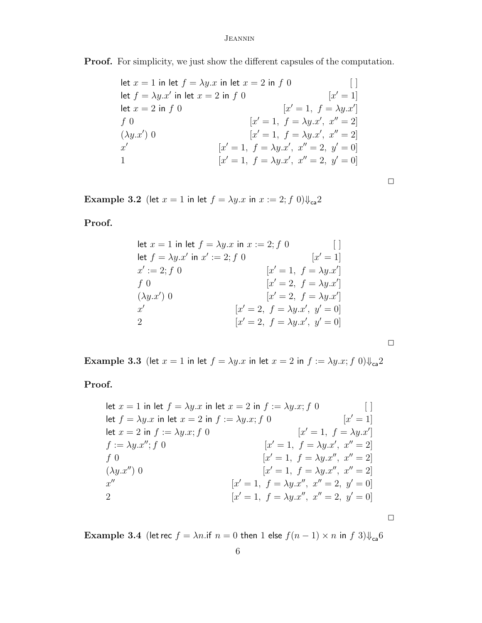Proof. For simplicity, we just show the different capsules of the computation.

let  $x = 1$  in let  $f = \lambda y \cdot x$  in let  $x = 2$  in f 0 [ ] let  $f = \lambda y.x'$  in let  $x = 2$  in f 0 [x  $[x' = 1]$ let  $x = 2$  in  $f \, 0$  $y' = 1, f = \lambda y \cdot x'$  $f\,0$  $y' = 1, f = \lambda y \cdot x', x'' = 2$  $(\lambda y.x')$  0  $[x'=1, f = \lambda y.x', x''=2]$  $x'$  $[x' = 1, f = \lambda y.x', x'' = 2, y' = 0]$ 1  $\boxed{x}$  $y' = 1, f = \lambda y \cdot x', x'' = 2, y' = 0$ 

 $\Box$ 

Example 3.2 (let  $x = 1$  in let  $f = \lambda y \cdot x$  in  $x := 2$ ;  $f(0)\psi_{ca}2$ 

Proof.

let 
$$
x = 1
$$
 in let  $f = \lambda y.x$  in  $x := 2$ ;  $f = 0$   
\nlet  $f = \lambda y.x'$  in  $x' := 2$ ;  $f = 0$   
\n $x' := 2$ ;  $f = 0$   
\n $f = 0$   
\n $[x' = 1, f = \lambda y.x']$   
\n $[x' = 2, f = \lambda y.x']$   
\n $x'$   
\n $[x' = 2, f = \lambda y.x']$   
\n $x'$   
\n $[x' = 2, f = \lambda y.x', y' = 0]$   
\n $[x' = 2, f = \lambda y.x', y' = 0]$   
\n $[x' = 2, f = \lambda y.x', y' = 0]$ 

 $\Box$ 

 $\Box$ 

Example 3.3 (let  $x = 1$  in let  $f = \lambda y \cdot x$  in let  $x = 2$  in  $f := \lambda y \cdot x$ ; f  $0) \psi_{ca} 2$ 

Proof.

let 
$$
x = 1
$$
 in let  $f = \lambda y.x$  in let  $x = 2$  in  $f := \lambda y.x$ ;  $f = 0$   
\nlet  $f = \lambda y.x$  in let  $x = 2$  in  $f := \lambda y.x$ ;  $f = 0$   
\nlet  $x = 2$  in  $f := \lambda y.x$ ;  $f = 0$   
\nlet  $x = 2$  in  $f := \lambda y.x$ ;  $f = 0$   
\nlet  $f = \lambda y.x'$  for  $[x' = 1, f = \lambda y.x', x'' = 2]$   
\n $f = 0$   
\n $[x' = 1, f = \lambda y.x', x'' = 2]$   
\n $[x' = 1, f = \lambda y.x'', x'' = 2]$   
\n $[x' = 1, f = \lambda y.x'', x'' = 2, y' = 0]$   
\n $[x' = 1, f = \lambda y.x'', x'' = 2, y' = 0]$   
\n $[x' = 1, f = \lambda y.x'', x'' = 2, y' = 0]$ 

Example 3.4 (let rec  $f = \lambda n$ .if  $n = 0$  then 1 else  $f(n - 1) \times n$  in  $f(3)\psi_{ca}$ 6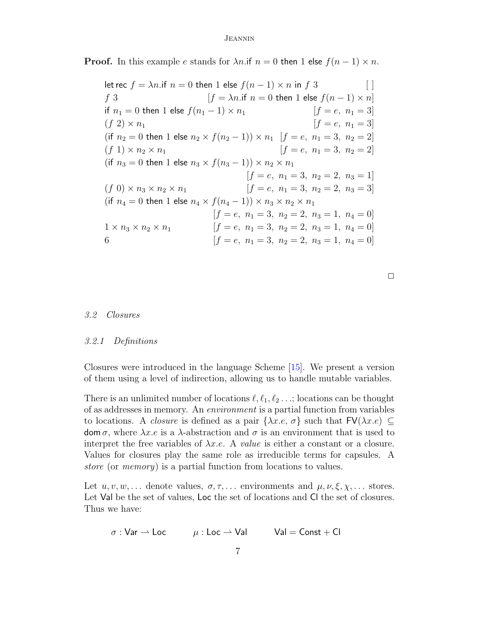**Proof.** In this example e stands for  $\lambda n$ . if  $n = 0$  then 1 else  $f(n - 1) \times n$ .

let rec  $f = \lambda n$ .if  $n = 0$  then 1 else  $f(n - 1) \times n$  in f 3 [ ] f 3  $[f = \lambda n \text{ if } n = 0 \text{ then } 1 \text{ else } f(n-1) \times n]$ if  $n_1 = 0$  then 1 else  $f(n_1 - 1) \times n_1$  [f = e, n<sub>1</sub> = 3]  $(f \ 2) \times n_1$   $[f = e, n_1 = 3]$ (if  $n_2 = 0$  then 1 else  $n_2 \times f(n_2 - 1) \times n_1$  [ $f = e, n_1 = 3, n_2 = 2$ ]  $(f 1) \times n_2 \times n_1$   $[f = e, n_1 = 3, n_2 = 2]$ (if  $n_3 = 0$  then 1 else  $n_3 \times f(n_3 - 1) \times n_2 \times n_1$  $[f = e, n_1 = 3, n_2 = 2, n_3 = 1]$  $(f\ 0) \times n_3 \times n_2 \times n_1$  [ $f = e, n_1 = 3, n_2 = 2, n_3 = 3$ ] (if  $n_4 = 0$  then 1 else  $n_4 \times f(n_4 - 1) \times n_3 \times n_2 \times n_1$  $[f = e, n_1 = 3, n_2 = 2, n_3 = 1, n_4 = 0]$  $1 \times n_3 \times n_2 \times n_1$   $[f = e, n_1 = 3, n_2 = 2, n_3 = 1, n_4 = 0]$ 6  $[f = e, n_1 = 3, n_2 = 2, n_3 = 1, n_4 = 0]$ 

 $\Box$ 

### 3.2 Closures

## 3.2.1 Definitions

Closures were introduced in the language Scheme [\[15\]](#page-16-0). We present a version of them using a level of indirection, allowing us to handle mutable variables.

There is an unlimited number of locations  $\ell, \ell_1, \ell_2 \ldots$ ; locations can be thought of as addresses in memory. An environment is a partial function from variables to locations. A *closure* is defined as a pair  $\{\lambda x.e, \sigma\}$  such that  $\textsf{FV}(\lambda x.e) \subseteq$ dom  $\sigma$ , where  $\lambda x.e$  is a  $\lambda$ -abstraction and  $\sigma$  is an environment that is used to interpret the free variables of  $\lambda x.e.$  A value is either a constant or a closure. Values for closures play the same role as irreducible terms for capsules. A store (or memory) is a partial function from locations to values.

Let  $u, v, w, \ldots$  denote values,  $\sigma, \tau, \ldots$  environments and  $\mu, \nu, \xi, \chi, \ldots$  stores. Let Val be the set of values, Loc the set of locations and Cl the set of closures. Thus we have:

$$
\sigma: \mathsf{Var} \rightharpoonup \mathsf{Loc} \qquad \quad \mu: \mathsf{Loc} \rightharpoonup \mathsf{Val} \qquad \quad \mathsf{Val} = \mathsf{Const} + \mathsf{Cl}
$$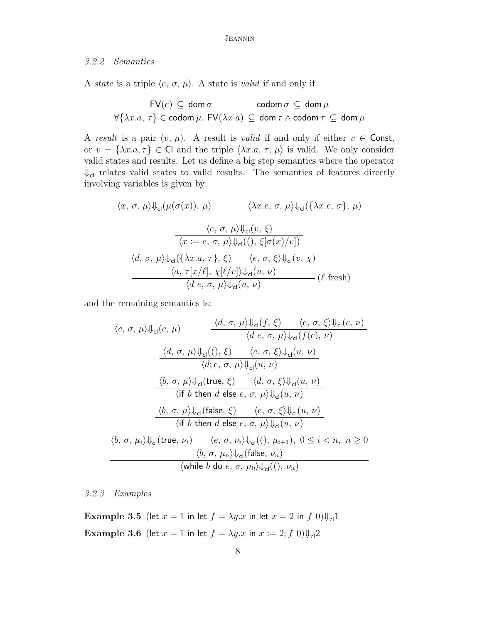## 3.2.2 Semantics

A *state* is a triple  $\langle e, \sigma, \mu \rangle$ . A state is *valid* if and only if

$$
\mathsf{FV}(e) \subseteq \mathsf{dom}\,\sigma \qquad \mathsf{codom}\,\sigma \subseteq \mathsf{dom}\,\mu
$$

$$
\forall \{\lambda x. a, \,\tau\} \in \mathsf{codom}\,\mu, \,\mathsf{FV}(\lambda x. a) \subseteq \mathsf{dom}\,\tau \wedge \mathsf{codom}\,\tau \subseteq \mathsf{dom}\,\mu
$$

A result is a pair  $(v, \mu)$ . A result is valid if and only if either  $v \in$  Const, or  $v = {\lambda x.a, \tau} \in \mathbb{C}$  and the triple  $\langle \lambda x.a, \tau, \mu \rangle$  is valid. We only consider valid states and results. Let us define a big step semantics where the operator  $\Downarrow_{\mathsf{cl}}$  relates valid states to valid results. The semantics of features directly involving variables is given by:

$$
\langle x, \sigma, \mu \rangle \psi_{\text{cl}}(\mu(\sigma(x)), \mu) \qquad \langle \lambda x. e, \sigma, \mu \rangle \psi_{\text{cl}}(\{\lambda x. e, \sigma\}, \mu)
$$

$$
\frac{\langle e, \sigma, \mu \rangle \psi_{\text{cl}}(v, \xi)}{\langle x := e, \sigma, \mu \rangle \psi_{\text{cl}}((0, \xi[\sigma(x)/v])}
$$

$$
\langle d, \sigma, \mu \rangle \psi_{\text{cl}}(\{\lambda x. a, \tau\}, \xi) \qquad \langle e, \sigma, \xi \rangle \psi_{\text{cl}}(v, \chi)
$$

$$
\frac{\langle a, \tau[x/\ell], \chi[\ell/v] \rangle \psi_{\text{cl}}(u, \nu)}{\langle d \epsilon, \sigma, \mu \rangle \psi_{\text{cl}}(u, \nu)} (\ell \text{ fresh})
$$

and the remaining semantics is:

$$
\langle c, \sigma, \mu \rangle \psi_{cl}(c, \mu) \frac{\langle d, \sigma, \mu \rangle \psi_{cl}(f, \xi) \langle e, \sigma, \xi \rangle \psi_{cl}(c, \nu)}{\langle d \ e, \sigma, \mu \rangle \psi_{cl}(f(c), \nu)} \n\frac{\langle d, \sigma, \mu \rangle \psi_{cl}(l), \xi \rangle \langle e, \sigma, \xi \rangle \psi_{cl}(u, \nu)}{\langle d; e, \sigma, \mu \rangle \psi_{cl}(u, \nu)} \n\frac{\langle b, \sigma, \mu \rangle \psi_{cl}(\text{true}, \xi) \langle d, \sigma, \xi \rangle \psi_{cl}(u, \nu)}{\langle \text{if } b \ \text{then } d \ \text{else } e, \sigma, \mu \rangle \psi_{cl}(u, \nu)} \n\frac{\langle b, \sigma, \mu \rangle \psi_{cl}(\text{false}, \xi) \langle e, \sigma, \xi \rangle \psi_{cl}(u, \nu)}{\langle \text{if } b \ \text{then } d \ \text{else } e, \sigma, \mu \rangle \psi_{cl}(u, \nu)} \n\langle b, \sigma, \mu_i \rangle \psi_{cl}(\text{false}, \xi) \langle e, \sigma, \mu_i \rangle \psi_{cl}(v, \mu_i) \n\langle b, \sigma, \mu_i \rangle \psi_{cl}(\text{true}, \nu_i) \langle e, \sigma, \nu_i \rangle \psi_{cl}(l), \mu_{i+1}), 0 \leq i < n, n \geq 0 \n\langle b, \sigma, \mu_n \rangle \psi_{cl}(\text{false}, \nu_n) \n\langle \text{while } b \ \text{do } e, \sigma, \mu_0 \rangle \psi_{cl}(l), \nu_n)
$$

3.2.3 Examples

Example 3.5 (let  $x = 1$  in let  $f = \lambda y \cdot x$  in let  $x = 2$  in  $f(0)\psi_{cl}1$ Example 3.6 (let  $x = 1$  in let  $f = \lambda y \cdot x$  in  $x := 2$ ;  $f(0)\psi_{cl}2$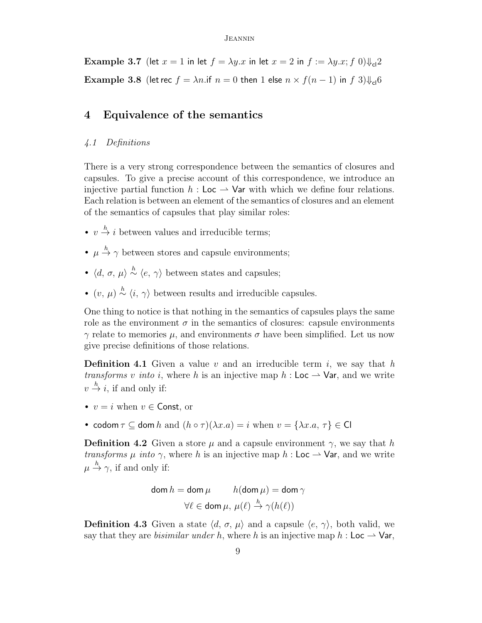Example 3.7 (let  $x = 1$  in let  $f = \lambda y \cdot x$  in let  $x = 2$  in  $f := \lambda y \cdot x$ ; f 0) $\downarrow$ <sub>cl</sub>2 **Example 3.8** (let rec  $f = \lambda n$ .if  $n = 0$  then 1 else  $n \times f(n-1)$  in  $f(3)\psi_{c}$  6

## <span id="page-8-0"></span>4 Equivalence of the semantics

## 4.1 Definitions

There is a very strong correspondence between the semantics of closures and capsules. To give a precise account of this correspondence, we introduce an injective partial function  $h :$  Loc  $\rightarrow$  Var with which we define four relations. Each relation is between an element of the semantics of closures and an element of the semantics of capsules that play similar roles:

- $v \stackrel{h}{\rightarrow} i$  between values and irreducible terms;
- $\mu \stackrel{h}{\rightarrow} \gamma$  between stores and capsule environments;
- $\langle d, \sigma, \mu \rangle \stackrel{h}{\sim} \langle e, \gamma \rangle$  between states and capsules;
- $(v, \mu) \stackrel{h}{\sim} \langle i, \gamma \rangle$  between results and irreducible capsules.

One thing to notice is that nothing in the semantics of capsules plays the same role as the environment  $\sigma$  in the semantics of closures: capsule environments  $\gamma$  relate to memories  $\mu$ , and environments  $\sigma$  have been simplified. Let us now give precise definitions of those relations.

**Definition 4.1** Given a value v and an irreducible term i, we say that h transforms v into i, where h is an injective map  $h : \mathsf{Loc} \to \mathsf{Var}$ , and we write  $v \stackrel{h}{\rightarrow} i$ , if and only if:

- $v = i$  when  $v \in$  Const, or
- codom  $\tau \subset$  dom h and  $(h \circ \tau)(\lambda x.a) = i$  when  $v = {\lambda x.a, \tau} \in \mathbb{C}$

**Definition 4.2** Given a store  $\mu$  and a capsule environment  $\gamma$ , we say that h transforms  $\mu$  into  $\gamma$ , where h is an injective map h: Loc  $\rightarrow$  Var, and we write  $\mu \stackrel{h}{\rightarrow} \gamma$ , if and only if:

$$
\mathsf{dom}\, h = \mathsf{dom}\, \mu \qquad h(\mathsf{dom}\, \mu) = \mathsf{dom}\, \gamma
$$

$$
\forall \ell \in \mathsf{dom}\, \mu, \, \mu(\ell) \stackrel{h}{\to} \gamma(h(\ell))
$$

**Definition 4.3** Given a state  $\langle d, \sigma, \mu \rangle$  and a capsule  $\langle e, \gamma \rangle$ , both valid, we say that they are *bisimilar under h*, where h is an injective map  $h : \mathsf{Loc} \to \mathsf{Var}$ ,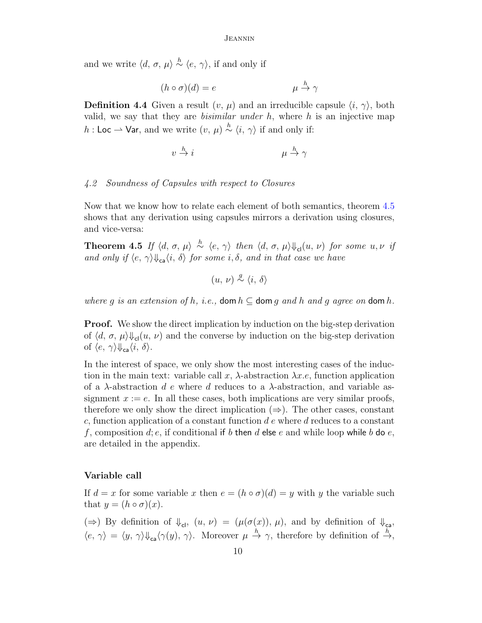and we write  $\langle d, \sigma, \mu \rangle \stackrel{h}{\sim} \langle e, \gamma \rangle$ , if and only if

$$
(h \circ \sigma)(d) = e \qquad \qquad \mu \stackrel{h}{\to} \gamma
$$

**Definition 4.4** Given a result  $(v, \mu)$  and an irreducible capsule  $\langle i, \gamma \rangle$ , both valid, we say that they are *bisimilar under*  $h$ , where  $h$  is an injective map h : Loc  $\rightarrow$  Var, and we write  $(v, \mu) \stackrel{h}{\sim} \langle i, \gamma \rangle$  if and only if:

$$
v \stackrel{h}{\to} i \qquad \qquad \mu \stackrel{h}{\to} \gamma
$$

## 4.2 Soundness of Capsules with respect to Closures

Now that we know how to relate each element of both semantics, theorem [4.5](#page-9-0) shows that any derivation using capsules mirrors a derivation using closures, and vice-versa:

<span id="page-9-0"></span>**Theorem 4.5** If  $\langle d, \sigma, \mu \rangle \stackrel{h}{\sim} \langle e, \gamma \rangle$  then  $\langle d, \sigma, \mu \rangle \Downarrow_{\mathsf{cl}} (u, \nu)$  for some  $u, \nu$  if and only if  $\langle e, \gamma \rangle \psi_{ca} \langle i, \delta \rangle$  for some i,  $\delta$ , and in that case we have

$$
(u, v) \stackrel{g}{\sim} \langle i, \delta \rangle
$$

where g is an extension of h, i.e., dom  $h \subseteq$  dom g and h and g agree on dom h.

**Proof.** We show the direct implication by induction on the big-step derivation of  $\langle d, \sigma, \mu \rangle \psi_{\rm cl}(u, \nu)$  and the converse by induction on the big-step derivation of  $\langle e, \gamma \rangle \psi_{\text{ca}} \langle i, \delta \rangle$ .

In the interest of space, we only show the most interesting cases of the induction in the main text: variable call x,  $\lambda$ -abstraction  $\lambda x.e.$ , function application of a  $\lambda$ -abstraction d e where d reduces to a  $\lambda$ -abstraction, and variable assignment  $x := e$ . In all these cases, both implications are very similar proofs, therefore we only show the direct implication  $(\Rightarrow)$ . The other cases, constant c, function application of a constant function  $d e$  where  $d$  reduces to a constant f, composition d; e, if conditional if b then d else e and while loop while b do e, are detailed in the appendix.

## Variable call

If  $d = x$  for some variable x then  $e = (h \circ \sigma)(d) = y$  with y the variable such that  $y = (h \circ \sigma)(x)$ .

 $(\Rightarrow)$  By definition of  $\psi_{\text{cl}}$ ,  $(u, v) = (\mu(\sigma(x)), \mu)$ , and by definition of  $\psi_{\text{ca}}$ ,  $\langle e, \gamma \rangle = \langle y, \gamma \rangle \psi_{\text{ca}} \langle \gamma(y), \gamma \rangle$ . Moreover  $\mu \stackrel{h}{\rightarrow} \gamma$ , therefore by definition of  $\stackrel{h}{\rightarrow}$ ,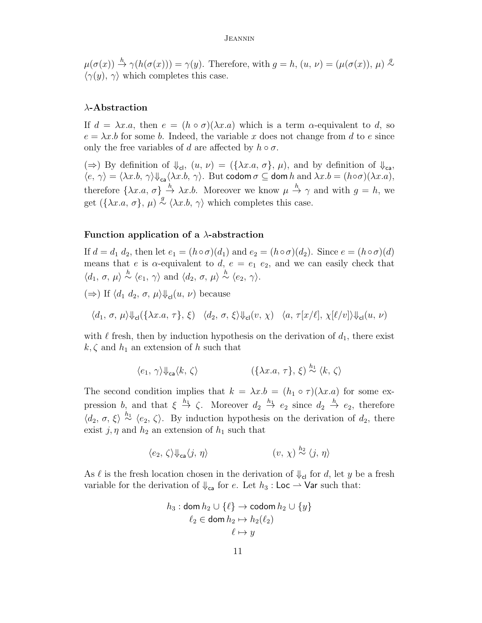$\mu(\sigma(x)) \stackrel{h}{\rightarrow} \gamma(h(\sigma(x))) = \gamma(y)$ . Therefore, with  $g = h$ ,  $(u, v) = (\mu(\sigma(x)), \mu) \stackrel{g}{\sim}$  $\langle \gamma(y), \gamma \rangle$  which completes this case.

## $\lambda$ -Abstraction

If  $d = \lambda x.a$ , then  $e = (h \circ \sigma)(\lambda x.a)$  which is a term  $\alpha$ -equivalent to d, so  $e = \lambda x.b$  for some b. Indeed, the variable x does not change from d to e since only the free variables of d are affected by  $h \circ \sigma$ .

 $(\Rightarrow)$  By definition of  $\psi_{\text{cl}}$ ,  $(u, v) = (\{\lambda x.a, \sigma\}, \mu)$ , and by definition of  $\psi_{\text{ca}}$ ,  $\langle e, \gamma \rangle = \langle \lambda x.b, \gamma \rangle \psi_{\mathsf{ca}} \langle \lambda x.b, \gamma \rangle$ . But codom  $\sigma \subseteq$  dom h and  $\lambda x.b = (h \circ \sigma)(\lambda x.a)$ , therefore  $\{\lambda x.a, \sigma\} \stackrel{h}{\rightarrow} \lambda x.b.$  Moreover we know  $\mu \stackrel{h}{\rightarrow} \gamma$  and with  $g = h$ , we get  $(\{\lambda x.a, \sigma\}, \mu) \stackrel{g}{\sim} \langle \lambda x.b, \gamma \rangle$  which completes this case.

### Function application of a  $\lambda$ -abstraction

If  $d = d_1 d_2$ , then let  $e_1 = (h \circ \sigma)(d_1)$  and  $e_2 = (h \circ \sigma)(d_2)$ . Since  $e = (h \circ \sigma)(d)$ means that e is  $\alpha$ -equivalent to d,  $e = e_1 \, e_2$ , and we can easily check that  $\langle d_1, \sigma, \mu \rangle \stackrel{h}{\sim} \langle e_1, \gamma \rangle$  and  $\langle d_2, \sigma, \mu \rangle \stackrel{h}{\sim} \langle e_2, \gamma \rangle$ .

 $(\Rightarrow)$  If  $\langle d_1 d_2, \sigma, \mu \rangle \psi_{cl}(u, \nu)$  because

 $\langle d_1, \sigma, \mu \rangle \psi_{cl}(\{\lambda x.a, \tau\}, \xi) \langle d_2, \sigma, \xi \rangle \psi_{cl}(v, \chi) \langle a, \tau[x/\ell], \chi[\ell/v] \rangle \psi_{cl}(u, \nu)$ 

with  $\ell$  fresh, then by induction hypothesis on the derivation of  $d_1$ , there exist  $k, \zeta$  and  $h_1$  an extension of h such that

$$
\langle e_1, \gamma \rangle \psi_{\mathsf{ca}} \langle k, \zeta \rangle \qquad \qquad (\{\lambda x. a, \tau\}, \xi) \stackrel{h_1}{\sim} \langle k, \zeta \rangle
$$

The second condition implies that  $k = \lambda x.b = (h_1 \circ \tau)(\lambda x.a)$  for some expression b, and that  $\xi \stackrel{h_1}{\to} \zeta$ . Moreover  $d_2 \stackrel{h_1}{\to} e_2$  since  $d_2 \stackrel{h}{\to} e_2$ , therefore  $\langle d_2, \sigma, \xi \rangle \stackrel{h_1}{\sim} \langle e_2, \zeta \rangle$ . By induction hypothesis on the derivation of  $d_2$ , there exist j,  $\eta$  and  $h_2$  an extension of  $h_1$  such that

$$
\langle e_2, \zeta \rangle \psi_{\text{ca}} \langle j, \eta \rangle \qquad \qquad (v, \chi) \stackrel{h_2}{\sim} \langle j, \eta \rangle
$$

<span id="page-10-0"></span>As  $\ell$  is the fresh location chosen in the derivation of  $\downarrow_{\text{cl}}$  for d, let y be a fresh variable for the derivation of  $\Downarrow_{\mathsf{ca}}$  for e. Let  $h_3$ : Loc  $\rightarrow$  Var such that:

$$
h_3: \text{dom } h_2 \cup \{\ell\} \to \text{codom } h_2 \cup \{y\}
$$

$$
\ell_2 \in \text{dom } h_2 \mapsto h_2(\ell_2)
$$

$$
\ell \mapsto y
$$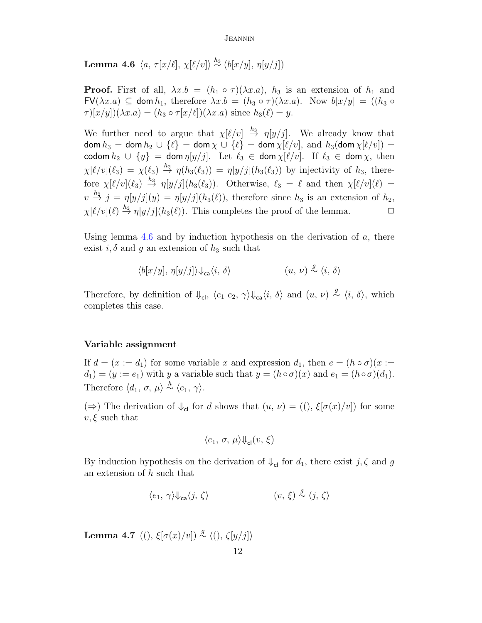**Lemma 4.6**  $\langle a, \tau[x/\ell], \chi[\ell/v] \rangle \stackrel{h_3}{\sim} (b[x/y], \eta[y/j])$ 

**Proof.** First of all,  $\lambda x.b = (h_1 \circ \tau)(\lambda x.a)$ ,  $h_3$  is an extension of  $h_1$  and  $FV(\lambda x.a) \subseteq$  dom  $h_1$ , therefore  $\lambda x.b = (h_3 \circ \tau)(\lambda x.a)$ . Now  $b[x/y] = ((h_3 \circ$  $\tau$ )[x/y])( $\lambda x.a$ ) = ( $h_3 \circ \tau$ [x/ $\ell$ ])( $\lambda x.a$ ) since  $h_3(\ell) = y$ .

We further need to argue that  $\chi[\ell/v] \stackrel{h_3}{\rightarrow} \eta[y/j]$ . We already know that dom  $h_3 =$  dom  $h_2 \cup {\ell} =$  dom  $\chi \cup {\ell} =$  dom  $\chi[\ell/v]$ , and  $h_3$ (dom  $\chi[\ell/v] =$ codom  $h_2 \cup \{y\} = \text{dom } \eta[y/j]$ . Let  $\ell_3 \in \text{dom } \chi[\ell/v]$ . If  $\ell_3 \in \text{dom } \chi$ , then  $\chi[\ell/v](\ell_3) = \chi(\ell_3) \stackrel{h_2}{\rightarrow} \eta(h_3(\ell_3)) = \eta[y/j](h_3(\ell_3))$  by injectivity of  $h_3$ , therefore  $\chi[\ell/v](\ell_3) \stackrel{h_3}{\rightarrow} \eta[y/j](h_3(\ell_3))$ . Otherwise,  $\ell_3 = \ell$  and then  $\chi[\ell/v](\ell) =$  $v \stackrel{h_2}{\rightarrow} j = \eta[y/j](y) = \eta[y/j](h_3(\ell))$ , therefore since  $h_3$  is an extension of  $h_2$ ,  $\chi[\ell/v](\ell) \stackrel{h_3}{\rightarrow} \eta[y/j](h_3(\ell)).$  This completes the proof of the lemma.  $\Box$ 

Using lemma [4.6](#page-10-0) and by induction hypothesis on the derivation of  $a$ , there exist  $i, \delta$  and g an extension of  $h_3$  such that

$$
\langle b[x/y], \eta[y/j] \rangle \psi_{\text{ca}} \langle i, \delta \rangle \qquad (u, \nu) \stackrel{g}{\sim} \langle i, \delta \rangle
$$

Therefore, by definition of  $\Downarrow_{\mathsf{cl}}$ ,  $\langle e_1 \ e_2, \ \gamma \rangle \Downarrow_{\mathsf{ca}} \langle i, \delta \rangle$  and  $(u, v) \stackrel{g}{\sim} \langle i, \delta \rangle$ , which completes this case.

## Variable assignment

If  $d = (x := d_1)$  for some variable x and expression  $d_1$ , then  $e = (h \circ \sigma)(x :=$  $d_1$  =  $(y := e_1)$  with y a variable such that  $y = (h \circ \sigma)(x)$  and  $e_1 = (h \circ \sigma)(d_1)$ . Therefore  $\langle d_1, \sigma, \mu \rangle \stackrel{h}{\sim} \langle e_1, \gamma \rangle$ .

 $(\Rightarrow)$  The derivation of  $\psi_{\text{cl}}$  for d shows that  $(u, v) = ((), \xi[\sigma(x)/v])$  for some  $v, \xi$  such that

$$
\langle e_1, \sigma, \mu \rangle \psi_{\rm cl}(v, \xi)
$$

By induction hypothesis on the derivation of  $\Downarrow_{\text{cl}}$  for  $d_1$ , there exist  $j, \zeta$  and g an extension of h such that

$$
\langle e_1, \gamma \rangle \Downarrow_{\mathsf{ca}} \langle j, \zeta \rangle \qquad (v, \xi) \stackrel{g}{\sim} \langle j, \zeta \rangle
$$

<span id="page-11-0"></span>**Lemma 4.7** ((),  $\xi[\sigma(x)/v] \stackrel{g}{\sim} \langle (), \zeta[y/j] \rangle$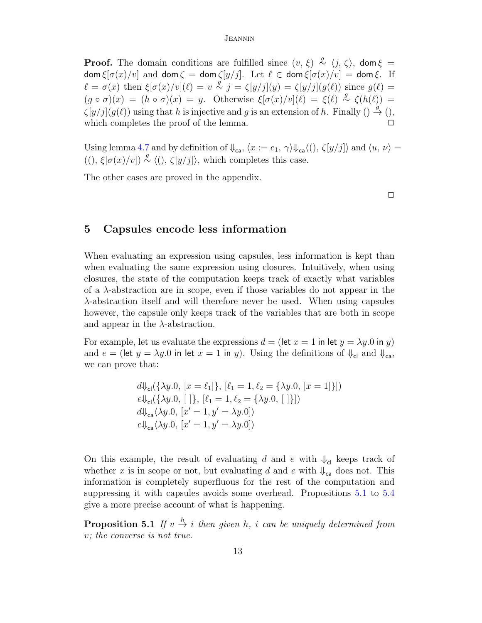**Proof.** The domain conditions are fulfilled since  $(v, \xi) \stackrel{g}{\sim} \langle j, \zeta \rangle$ , dom  $\xi =$  $\text{dom } \xi[\sigma(x)/v]$  and  $\text{dom } \zeta = \text{dom } \zeta[y/j]$ . Let  $\ell \in \text{dom } \xi[\sigma(x)/v] = \text{dom } \xi$ . If  $\ell = \sigma(x)$  then  $\xi[\sigma(x)/v](\ell) = v \stackrel{g}{\sim} j = \zeta[y/j](y) = \zeta[y/j](g(\ell))$  since  $g(\ell) =$  $(g \circ \sigma)(x) = (h \circ \sigma)(x) = y$ . Otherwise  $\xi[\sigma(x)/v](\ell) = \xi(\ell) \stackrel{g}{\sim} \zeta(h(\ell)) =$  $\zeta[y/j](g(\ell))$  using that h is injective and g is an extension of h. Finally ()  $\stackrel{g}{\rightarrow}$  (), which completes the proof of the lemma.

Using lemma [4.7](#page-11-0) and by definition of  $\psi_{ca}$ ,  $\langle x := e_1, \gamma \rangle \psi_{ca} \langle (h, \zeta[y/j]) \rangle$  and  $\langle u, v \rangle =$  $((), \xi[\sigma(x)/v]) \stackrel{g}{\sim} \langle (), \zeta[y/j] \rangle$ , which completes this case.

The other cases are proved in the appendix.

 $\Box$ 

## <span id="page-12-0"></span>5 Capsules encode less information

When evaluating an expression using capsules, less information is kept than when evaluating the same expression using closures. Intuitively, when using closures, the state of the computation keeps track of exactly what variables of a  $\lambda$ -abstraction are in scope, even if those variables do not appear in the λ-abstraction itself and will therefore never be used. When using capsules however, the capsule only keeps track of the variables that are both in scope and appear in the  $\lambda$ -abstraction.

For example, let us evaluate the expressions  $d = (\text{let } x = 1 \text{ in } \text{let } y = \lambda y.0 \text{ in } y)$ and  $e = (\text{let } y = \lambda y.0 \text{ in } \text{let } x = 1 \text{ in } y)$ . Using the definitions of  $\Downarrow_{\text{cl}}$  and  $\Downarrow_{\text{ca}}$ , we can prove that:

$$
d\psi_{\text{cl}}(\{\lambda y.0, [x = \ell_1]\}, [\ell_1 = 1, \ell_2 = \{\lambda y.0, [x = 1]\}])
$$
  

$$
e\psi_{\text{cl}}(\{\lambda y.0, [x = 1, \ell_2 = \{\lambda y.0, [x = 1]\}])
$$
  

$$
d\psi_{\text{ca}}(\lambda y.0, [x' = 1, y' = \lambda y.0])
$$
  

$$
e\psi_{\text{ca}}(\lambda y.0, [x' = 1, y' = \lambda y.0])
$$

On this example, the result of evaluating d and e with  $\psi_{\text{cl}}$  keeps track of whether x is in scope or not, but evaluating d and e with  $\psi_{\text{ca}}$  does not. This information is completely superfluous for the rest of the computation and suppressing it with capsules avoids some overhead. Propositions [5.1](#page-12-1) to [5.4](#page-13-0) give a more precise account of what is happening.

<span id="page-12-1"></span>**Proposition 5.1** If  $v \stackrel{h}{\rightarrow} i$  then given h, i can be uniquely determined from v; the converse is not true.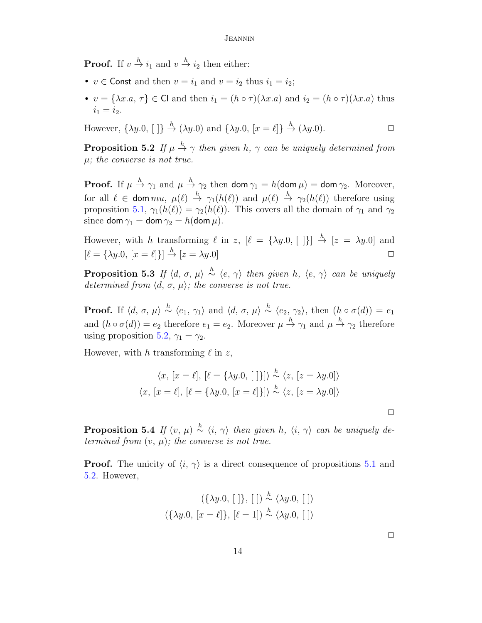**Proof.** If  $v \stackrel{h}{\to} i_1$  and  $v \stackrel{h}{\to} i_2$  then either:

- $v \in$  Const and then  $v = i_1$  and  $v = i_2$  thus  $i_1 = i_2$ ;
- $v = {\lambda x.a, \tau} \in \mathsf{Cl}$  and then  $i_1 = (h \circ \tau)(\lambda x.a)$  and  $i_2 = (h \circ \tau)(\lambda x.a)$  thus  $i_1 = i_2.$

However,  $\{\lambda y.0, [\ ]\} \stackrel{h}{\rightarrow} (\lambda y.0)$  and  $\{\lambda y.0, [x = \ell]\} \stackrel{h}{\rightarrow} (\lambda y.0)$ .

<span id="page-13-1"></span>**Proposition 5.2** If  $\mu \stackrel{h}{\rightarrow} \gamma$  then given h,  $\gamma$  can be uniquely determined from  $\mu$ ; the converse is not true.

**Proof.** If  $\mu \stackrel{h}{\rightarrow} \gamma_1$  and  $\mu \stackrel{h}{\rightarrow} \gamma_2$  then  $\textsf{dom}\,\gamma_1 = h(\textsf{dom}\,\mu) = \textsf{dom}\,\gamma_2$ . Moreover, for all  $\ell \in \text{dom } mu, \mu(\ell) \stackrel{h}{\to} \gamma_1(h(\ell))$  and  $\mu(\ell) \stackrel{h}{\to} \gamma_2(h(\ell))$  therefore using proposition [5.1,](#page-12-1)  $\gamma_1(h(\ell)) = \gamma_2(h(\ell))$ . This covers all the domain of  $\gamma_1$  and  $\gamma_2$ since dom  $\gamma_1 =$  dom  $\gamma_2 = h$ (dom  $\mu$ ).

However, with h transforming  $\ell$  in z,  $[\ell = {\lambda y.0}, [ ] \}$   $\stackrel{h}{\to} [z = \lambda y.0]$  and  $[\ell = {\lambda y.0, [x = \ell]}] \stackrel{h}{\rightarrow} [z = \lambda y.0]$ 

**Proposition 5.3** If  $\langle d, \sigma, \mu \rangle \stackrel{h}{\sim} \langle e, \gamma \rangle$  then given h,  $\langle e, \gamma \rangle$  can be uniquely determined from  $\langle d, \sigma, \mu \rangle$ ; the converse is not true.

**Proof.** If  $\langle d, \sigma, \mu \rangle \stackrel{h}{\sim} \langle e_1, \gamma_1 \rangle$  and  $\langle d, \sigma, \mu \rangle \stackrel{h}{\sim} \langle e_2, \gamma_2 \rangle$ , then  $(h \circ \sigma(d)) = e_1$ and  $(h \circ \sigma(d)) = e_2$  therefore  $e_1 = e_2$ . Moreover  $\mu \stackrel{h}{\to} \gamma_1$  and  $\mu \stackrel{h}{\to} \gamma_2$  therefore using proposition [5.2,](#page-13-1)  $\gamma_1 = \gamma_2$ .

However, with h transforming  $\ell$  in z,

$$
\langle x, [x = \ell], [\ell = {\lambda y. 0, [\ ]}] \rangle \stackrel{h}{\sim} \langle z, [z = \lambda y. 0] \rangle
$$

$$
\langle x, [x = \ell], [\ell = {\lambda y. 0, [x = \ell]}] \rangle \stackrel{h}{\sim} \langle z, [z = \lambda y. 0] \rangle
$$

<span id="page-13-0"></span>**Proposition 5.4** If  $(v, \mu) \stackrel{h}{\sim} \langle i, \gamma \rangle$  then given h,  $\langle i, \gamma \rangle$  can be uniquely determined from  $(v, \mu)$ ; the converse is not true.

**Proof.** The unicity of  $\langle i, \gamma \rangle$  is a direct consequence of propositions [5.1](#page-12-1) and [5.2.](#page-13-1) However,

$$
(\{\lambda y.0, [\ ]\}, [\ ])\stackrel{h}{\sim}\langle \lambda y.0, [\ ]\rangle
$$

$$
(\{\lambda y.0, [x=\ell]\}, [\ell = 1])\stackrel{h}{\sim}\langle \lambda y.0, [\ ]\rangle
$$

 $\Box$ 

 $\Box$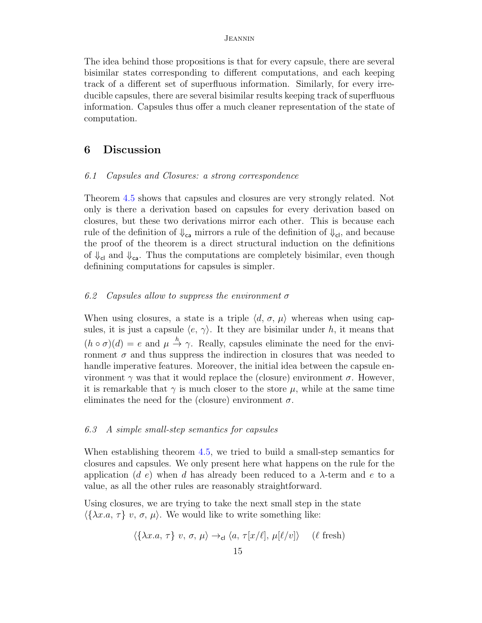The idea behind those propositions is that for every capsule, there are several bisimilar states corresponding to different computations, and each keeping track of a different set of superfluous information. Similarly, for every irreducible capsules, there are several bisimilar results keeping track of superfluous information. Capsules thus offer a much cleaner representation of the state of computation.

## <span id="page-14-0"></span>6 Discussion

### 6.1 Capsules and Closures: a strong correspondence

Theorem [4.5](#page-9-0) shows that capsules and closures are very strongly related. Not only is there a derivation based on capsules for every derivation based on closures, but these two derivations mirror each other. This is because each rule of the definition of  $\Downarrow_{\text{ca}}$  mirrors a rule of the definition of  $\Downarrow_{\text{cl}}$ , and because the proof of the theorem is a direct structural induction on the definitions of  $\Downarrow_{\rm cl}$  and  $\Downarrow_{\rm ca}$ . Thus the computations are completely bisimilar, even though definining computations for capsules is simpler.

## 6.2 Capsules allow to suppress the environment  $\sigma$

When using closures, a state is a triple  $\langle d, \sigma, \mu \rangle$  whereas when using capsules, it is just a capsule  $\langle e, \gamma \rangle$ . It they are bisimilar under h, it means that  $(h \circ \sigma)(d) = e$  and  $\mu \stackrel{h}{\rightarrow} \gamma$ . Really, capsules eliminate the need for the environment  $\sigma$  and thus suppress the indirection in closures that was needed to handle imperative features. Moreover, the initial idea between the capsule environment  $\gamma$  was that it would replace the (closure) environment  $\sigma$ . However, it is remarkable that  $\gamma$  is much closer to the store  $\mu$ , while at the same time eliminates the need for the (closure) environment  $\sigma$ .

## 6.3 A simple small-step semantics for capsules

When establishing theorem [4.5,](#page-9-0) we tried to build a small-step semantics for closures and capsules. We only present here what happens on the rule for the application (d e) when d has already been reduced to a  $\lambda$ -term and e to a value, as all the other rules are reasonably straightforward.

Using closures, we are trying to take the next small step in the state  $\langle \{\lambda x.a, \tau\} \ v, \sigma, \mu \rangle$ . We would like to write something like:

$$
\langle \{\lambda x.a, \tau\} \ v, \sigma, \mu \rangle \rightarrow_{\mathsf{cl}} \langle a, \tau[x/\ell], \mu[\ell/v] \rangle \quad (\ell \text{ fresh})
$$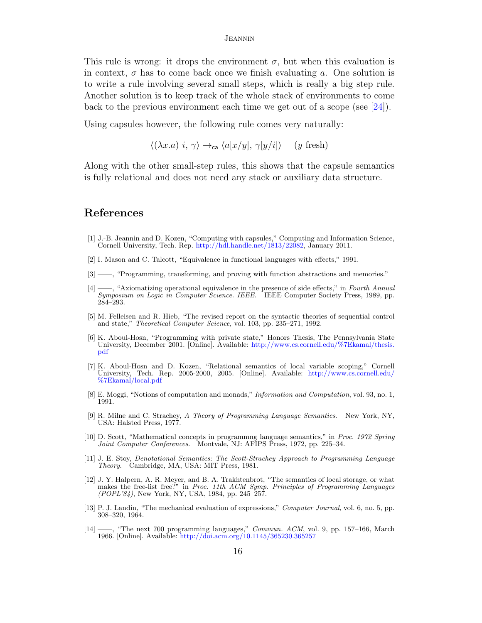This rule is wrong: it drops the environment  $\sigma$ , but when this evaluation is in context,  $\sigma$  has to come back once we finish evaluating a. One solution is to write a rule involving several small steps, which is really a big step rule. Another solution is to keep track of the whole stack of environments to come back to the previous environment each time we get out of a scope (see [\[24\]](#page-16-6)).

Using capsules however, the following rule comes very naturally:

 $\langle (\lambda x.a) i, \gamma \rangle \rightarrow_{\mathsf{ca}} \langle a[x/y], \gamma[y/i] \rangle$  (y fresh)

Along with the other small-step rules, this shows that the capsule semantics is fully relational and does not need any stack or auxiliary data structure.

## References

- <span id="page-15-0"></span>[1] J.-B. Jeannin and D. Kozen, "Computing with capsules," Computing and Information Science, Cornell University, Tech. Rep. [http://hdl.handle.net/1813/22082,](http://hdl.handle.net/1813/22082) January 2011.
- <span id="page-15-1"></span>[2] I. Mason and C. Talcott, "Equivalence in functional languages with effects," 1991.
- [3] ——, "Programming, transforming, and proving with function abstractions and memories."
- <span id="page-15-6"></span>[4] ——, "Axiomatizing operational equivalence in the presence of side effects," in Fourth Annual Symposium on Logic in Computer Science. IEEE. IEEE Computer Society Press, 1989, pp. 284–293.
- <span id="page-15-7"></span>[5] M. Felleisen and R. Hieb, "The revised report on the syntactic theories of sequential control and state," *Theoretical Computer Science*, vol. 103, pp. 235–271, 1992.
- [6] K. Aboul-Hosn, "Programming with private state," Honors Thesis, The Pennsylvania State University, December 2001. [Online]. Available: [http://www.cs.cornell.edu/%7Ekamal/thesis.](http://www.cs.cornell.edu/%7Ekamal/thesis.pdf) [pdf](http://www.cs.cornell.edu/%7Ekamal/thesis.pdf)
- [7] K. Aboul-Hosn and D. Kozen, "Relational semantics of local variable scoping," Cornell University, Tech. Rep. 2005-2000, 2005. [Online]. Available: [http://www.cs.cornell.edu/](http://www.cs.cornell.edu/%7Ekamal/local.pdf) [%7Ekamal/local.pdf](http://www.cs.cornell.edu/%7Ekamal/local.pdf)
- <span id="page-15-8"></span>[8] E. Moggi, "Notions of computation and monads," Information and Computation, vol. 93, no. 1, 1991.
- <span id="page-15-4"></span>[9] R. Milne and C. Strachey, A Theory of Programming Language Semantics. New York, NY, USA: Halsted Press, 1977.
- [10] D. Scott, "Mathematical concepts in programmng language semantics," in Proc. 1972 Spring Joint Computer Conferences. Montvale, NJ: AFIPS Press, 1972, pp. 225–34.
- [11] J. E. Stoy, Denotational Semantics: The Scott-Strachey Approach to Programming Language Theory. Cambridge, MA, USA: MIT Press, 1981.
- <span id="page-15-5"></span>[12] J. Y. Halpern, A. R. Meyer, and B. A. Trakhtenbrot, "The semantics of local storage, or what makes the free-list free?" in Proc. 11th ACM Symp. Principles of Programming Languages (POPL'84), New York, NY, USA, 1984, pp. 245–257.
- <span id="page-15-3"></span>[13] P. J. Landin, "The mechanical evaluation of expressions," Computer Journal, vol. 6, no. 5, pp. 308–320, 1964.
- <span id="page-15-2"></span>[14] ——, "The next 700 programming languages," Commun. ACM, vol. 9, pp. 157–166, March 1966. [Online]. Available: <http://doi.acm.org/10.1145/365230.365257>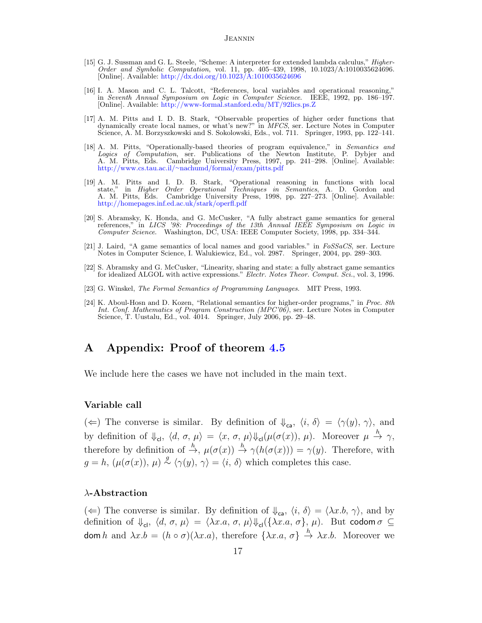- <span id="page-16-0"></span>[15] G. J. Sussman and G. L. Steele, "Scheme: A interpreter for extended lambda calculus," Higher-Order and Symbolic Computation, vol. 11, pp. 405–439, 1998, 10.1023/A:1010035624696. [Online]. Available: <http://dx.doi.org/10.1023/A:1010035624696>
- <span id="page-16-1"></span>[16] I. A. Mason and C. L. Talcott, "References, local variables and operational reasoning," in Seventh Annual Symposium on Logic in Computer Science. IEEE, 1992, pp. 186–197. [Online]. Available: <http://www-formal.stanford.edu/MT/92lics.ps.Z>
- [17] A. M. Pitts and I. D. B. Stark, "Observable properties of higher order functions that dynamically create local names, or what's new?" in MFCS, ser. Lecture Notes in Computer Science, A. M. Borzyszkowski and S. Sokolowski, Eds., vol. 711. Springer, 1993, pp. 122–141.
- [18] A. M. Pitts, "Operationally-based theories of program equivalence," in Semantics and Logics of Computation, ser. Publications of the Newton Institute, P. Dybjer and A. M. Pitts, Eds. Cambridge University Press, 1997, pp. 241–298. [Online]. Available: http://www.cs.tau.ac.il/∼[nachumd/formal/exam/pitts.pdf](http://www.cs.tau.ac.il/~nachumd/formal/exam/pitts.pdf)
- <span id="page-16-2"></span>[19] A. M. Pitts and I. D. B. Stark, "Operational reasoning in functions with local state," in Higher Order Operational Techniques in Semantics, A. D. Gordon and A. M. Pitts, Eds. Cambridge University Press, 1998, pp. 227–273. [Online]. Available: <http://homepages.inf.ed.ac.uk/stark/operfl.pdf>
- <span id="page-16-3"></span>[20] S. Abramsky, K. Honda, and G. McCusker, "A fully abstract game semantics for general references," in LICS '98: Proceedings of the 13th Annual IEEE Symposium on Logic in Computer Science. Washington, DC, USA: IEEE Computer Society, 1998, pp. 334–344.
- [21] J. Laird, "A game semantics of local names and good variables." in FoSSaCS, ser. Lecture Notes in Computer Science, I. Walukiewicz, Ed., vol. 2987. Springer, 2004, pp. 289–303.
- <span id="page-16-4"></span>[22] S. Abramsky and G. McCusker, "Linearity, sharing and state: a fully abstract game semantics for idealized ALGOL with active expressions." Electr. Notes Theor. Comput. Sci., vol. 3, 1996.
- <span id="page-16-5"></span>[23] G. Winskel, The Formal Semantics of Programming Languages. MIT Press, 1993.
- <span id="page-16-6"></span>[24] K. Aboul-Hosn and D. Kozen, "Relational semantics for higher-order programs," in Proc. 8th Int. Conf. Mathematics of Program Construction (MPC'06), ser. Lecture Notes in Computer Science, T. Uustalu, Ed., vol. 4014. Springer, July 2006, pp. 29–48.

## A Appendix: Proof of theorem [4.5](#page-9-0)

We include here the cases we have not included in the main text.

### Variable call

( $\Leftarrow$ ) The converse is similar. By definition of  $\psi_{\text{ca}}$ ,  $\langle i, \delta \rangle = \langle \gamma(y), \gamma \rangle$ , and by definition of  $\Downarrow_{\mathsf{cl}}$ ,  $\langle d, \sigma, \mu \rangle = \langle x, \sigma, \mu \rangle \Downarrow_{\mathsf{cl}} (\mu(\sigma(x)), \mu)$ . Moreover  $\mu \stackrel{h}{\to} \gamma$ , therefore by definition of  $\stackrel{h}{\to}$ ,  $\mu(\sigma(x)) \stackrel{h}{\to} \gamma(h(\sigma(x))) = \gamma(y)$ . Therefore, with  $g = h$ ,  $(\mu(\sigma(x)), \mu) \stackrel{g}{\sim} \langle \gamma(y), \gamma \rangle = \langle i, \delta \rangle$  which completes this case.

## λ-Abstraction

( $\Leftarrow$ ) The converse is similar. By definition of  $\psi_{c\alpha}$ ,  $\langle i, \delta \rangle = \langle \lambda x.b, \gamma \rangle$ , and by definition of  $\Downarrow_{\text{cl}}$ ,  $\langle d, \sigma, \mu \rangle = \langle \lambda x.a, \sigma, \mu \rangle \Downarrow_{\text{cl}} (\{\lambda x.a, \sigma\}, \mu)$ . But codom  $\sigma \subseteq$ dom h and  $\lambda x.b = (h \circ \sigma)(\lambda x.a)$ , therefore  $\{\lambda x.a, \sigma\} \stackrel{h}{\to} \lambda x.b$ . Moreover we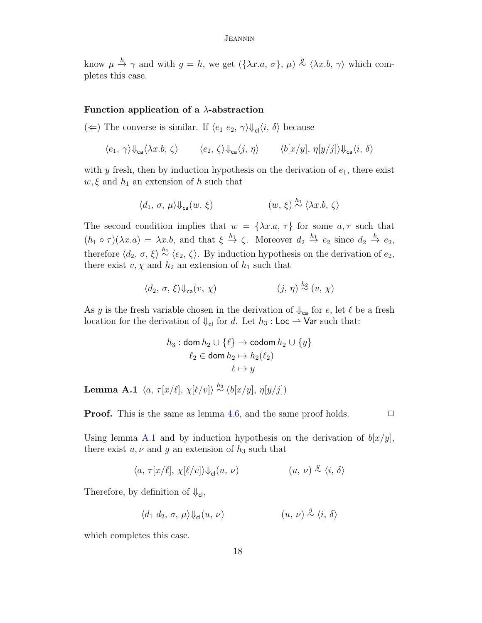know  $\mu \stackrel{h}{\rightarrow} \gamma$  and with  $g = h$ , we get  $({\lambda x.a, \sigma}, \mu) \stackrel{g}{\sim} {\langle \lambda x.b, \gamma \rangle}$  which completes this case.

### Function application of a  $\lambda$ -abstraction

( $\Leftarrow$ ) The converse is similar. If  $\langle e_1, e_2, \gamma \rangle \psi_{\rm cl} \langle i, \delta \rangle$  because

$$
\langle e_1, \gamma \rangle \Downarrow_{\text{ca}} \langle \lambda x. b, \zeta \rangle \qquad \langle e_2, \zeta \rangle \Downarrow_{\text{ca}} \langle j, \eta \rangle \qquad \langle b[x/y], \eta[y/j] \rangle \Downarrow_{\text{ca}} \langle i, \delta \rangle
$$

with  $y$  fresh, then by induction hypothesis on the derivation of  $e_1$ , there exist  $w, \xi$  and  $h_1$  an extension of h such that

$$
\langle d_1, \sigma, \mu \rangle \psi_{\text{ca}}(w, \xi) \qquad (w, \xi) \stackrel{h_1}{\sim} \langle \lambda x.b, \zeta \rangle
$$

The second condition implies that  $w = {\lambda x.a, \tau}$  for some  $a, \tau$  such that  $(h_1 \circ \tau)(\lambda x.a) = \lambda x.b$ , and that  $\xi \stackrel{h_1}{\to} \zeta$ . Moreover  $d_2 \stackrel{h_1}{\to} e_2$  since  $d_2 \stackrel{h}{\to} e_2$ , therefore  $\langle d_2, \sigma, \xi \rangle \stackrel{h_1}{\sim} \langle e_2, \zeta \rangle$ . By induction hypothesis on the derivation of  $e_2$ , there exist  $v, \chi$  and  $h_2$  an extension of  $h_1$  such that

$$
\langle d_2, \sigma, \xi \rangle \psi_{\text{ca}}(v, \chi) \qquad (j, \eta) \stackrel{h_2}{\sim} (v, \chi)
$$

As y is the fresh variable chosen in the derivation of  $\psi_{\mathsf{ca}}$  for e, let  $\ell$  be a fresh location for the derivation of  $\Downarrow_{\text{cl}}$  for d. Let  $h_3$ : Loc  $\rightarrow$  Var such that:

$$
h_3: \text{dom } h_2 \cup \{\ell\} \to \text{codom } h_2 \cup \{y\}
$$

$$
\ell_2 \in \text{dom } h_2 \mapsto h_2(\ell_2)
$$

$$
\ell \mapsto y
$$

<span id="page-17-0"></span>**Lemma A.1**  $\langle a, \tau[x/\ell], \chi[\ell/v] \rangle \stackrel{h_3}{\sim} (b[x/y], \eta[y/j])$ 

**Proof.** This is the same as lemma [4.6,](#page-10-0) and the same proof holds.  $\Box$ 

Using lemma [A.1](#page-17-0) and by induction hypothesis on the derivation of  $b[x/y]$ , there exist  $u, v$  and g an extension of  $h_3$  such that

$$
\langle a,\,\tau[x/\ell],\,\chi[\ell/v]\rangle\psi_{\rm cl}(u,\,\nu) \qquad \qquad (u,\,\nu)\stackrel{g}{\sim}\langle i,\,\delta\rangle
$$

Therefore, by definition of  $\Downarrow_{\mathsf{cl}}$ ,

$$
\langle d_1 \ d_2, \ \sigma, \ \mu \rangle \psi_{\mathsf{cl}}(u, \ \nu) \qquad \qquad (u, \ \nu) \stackrel{g}{\sim} \langle i, \ \delta \rangle
$$

which completes this case.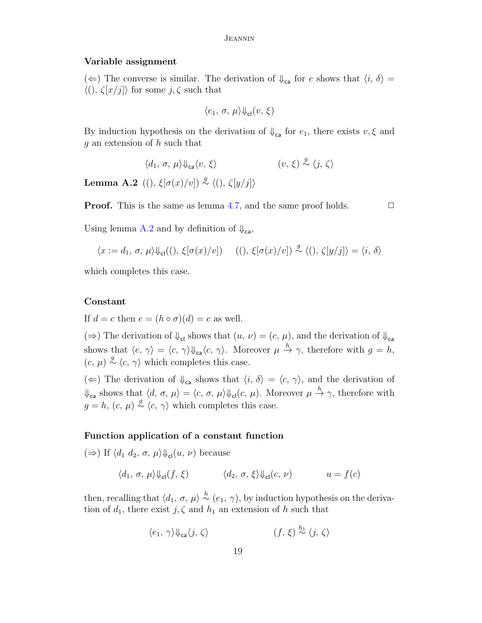### Variable assignment

 $(\Leftarrow)$  The converse is similar. The derivation of  $\downarrow_{\mathsf{ca}}$  for e shows that  $\langle i, \delta \rangle =$  $\langle ( ), \zeta[x/j] \rangle$  for some  $j, \zeta$  such that

$$
\langle e_1, \sigma, \mu \rangle \psi_{\rm cl}(v, \xi)
$$

By induction hypothesis on the derivation of  $\psi_{\mathsf{ca}}$  for  $e_1$ , there exists  $v, \xi$  and g an extension of h such that

$$
\langle d_1, \sigma, \mu \rangle \psi_{\mathsf{ca}} \langle v, \xi \rangle \tag{v, \xi} \langle v, \xi \rangle
$$

<span id="page-18-0"></span>**Lemma A.2** ((),  $\xi[\sigma(x)/v]$ <sup>2</sup>  $\langle$  (),  $\zeta[y/j]$ <sup>2</sup>

**Proof.** This is the same as lemma [4.7,](#page-11-0) and the same proof holds.  $\Box$ 

Using lemma [A.2](#page-18-0) and by definition of  $\psi_{ca}$ ,

$$
\langle x:=d_1,\, \sigma,\, \mu\rangle \mathrm{\mathbb{I}}_{\mathrm{cl}}((),\, \xi[\sigma(x)/v]) \hspace{0.5cm} ((),\, \xi[\sigma(x)/v]) \stackrel{g}{\sim} \langle (),\, \zeta[y/j] \rangle = \langle i,\, \delta \rangle
$$

which completes this case.

## Constant

If  $d = c$  then  $e = (h \circ \sigma)(d) = c$  as well.

 $(\Rightarrow)$  The derivation of  $\Downarrow_{\text{cl}}$  shows that  $(u, v) = (c, \mu)$ , and the derivation of  $\Downarrow_{\text{cl}}$ shows that  $\langle e, \gamma \rangle = \langle c, \gamma \rangle \psi_{\mathsf{ca}} \langle c, \gamma \rangle$ . Moreover  $\mu \stackrel{h}{\to} \gamma$ , therefore with  $g = h$ ,  $(c, \mu) \stackrel{g}{\sim} \langle c, \gamma \rangle$  which completes this case.

( $\Leftarrow$ ) The derivation of  $\Downarrow_{\mathsf{ca}}$  shows that  $\langle i, \delta \rangle = \langle c, \gamma \rangle$ , and the derivation of  $\Downarrow_{\mathsf{ca}}$  shows that  $\langle d, \sigma, \mu \rangle = \langle c, \sigma, \mu \rangle \Downarrow_{\mathsf{cl}} (c, \mu)$ . Moreover  $\mu \stackrel{h}{\to} \gamma$ , therefore with  $g = h, (c, \mu) \stackrel{g}{\sim} \langle c, \gamma \rangle$  which completes this case.

## Function application of a constant function

 $(\Rightarrow)$  If  $\langle d_1 d_2, \sigma, \mu \rangle \psi_{\text{cl}}(u, \nu)$  because

$$
\langle d_1, \sigma, \mu \rangle \psi_{\mathsf{cl}}(f, \xi) \qquad \langle d_2, \sigma, \xi \rangle \psi_{\mathsf{cl}}(c, \nu) \qquad u = f(c)
$$

then, recalling that  $\langle d_1, \sigma, \mu \rangle \stackrel{h}{\sim} (e_1, \gamma)$ , by induction hypothesis on the derivation of  $d_1$ , there exist  $j, \zeta$  and  $h_1$  an extension of h such that

$$
\langle e_1, \gamma \rangle \Psi_{\text{ca}} \langle j, \zeta \rangle \qquad \qquad (f, \xi) \stackrel{h_1}{\sim} \langle j, \zeta \rangle
$$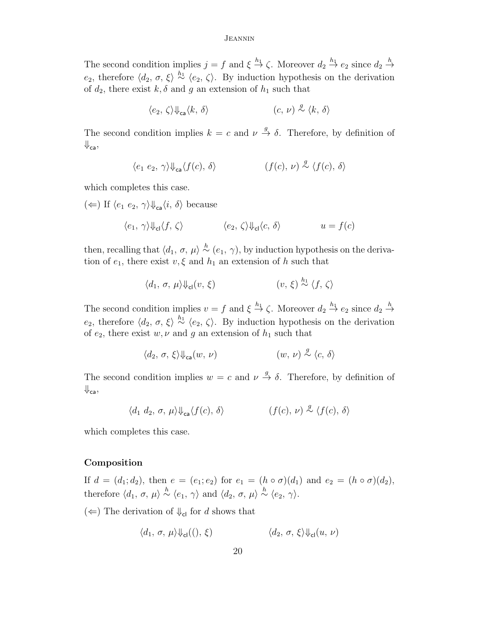The second condition implies  $j = f$  and  $\xi \stackrel{h_1}{\to} \zeta$ . Moreover  $d_2 \stackrel{h_1}{\to} e_2$  since  $d_2 \stackrel{h}{\to}$ e<sub>2</sub>, therefore  $\langle d_2, \sigma, \xi \rangle \stackrel{h_1}{\sim} \langle e_2, \zeta \rangle$ . By induction hypothesis on the derivation of  $d_2$ , there exist  $k, \delta$  and g an extension of  $h_1$  such that

$$
\langle e_2, \zeta \rangle \psi_{\text{ca}} \langle k, \delta \rangle \qquad \qquad (c, \nu) \stackrel{g}{\sim} \langle k, \delta \rangle
$$

The second condition implies  $k = c$  and  $\nu \stackrel{g}{\rightarrow} \delta$ . Therefore, by definition of  $\Downarrow_{\mathsf{ca}},$ 

$$
\langle e_1 \ e_2, \ \gamma \rangle \psi_{\text{ca}} \langle f(c), \ \delta \rangle \qquad \qquad (f(c), \ \nu) \stackrel{g}{\sim} \langle f(c), \ \delta \rangle
$$

which completes this case.

 $(\Leftarrow)$  If  $\langle e_1, e_2, \gamma \rangle \psi_{ca} \langle i, \delta \rangle$  because

$$
\langle e_1, \, \gamma \rangle \Downarrow_{\mathsf{cl}} \langle f, \, \zeta \rangle \qquad \qquad \langle e_2, \, \zeta \rangle \Downarrow_{\mathsf{cl}} \langle c, \, \delta \rangle \qquad u = f(c)
$$

then, recalling that  $\langle d_1, \sigma, \mu \rangle \stackrel{h}{\sim} (e_1, \gamma)$ , by induction hypothesis on the derivation of  $e_1$ , there exist  $v, \xi$  and  $h_1$  an extension of h such that

$$
\langle d_1, \sigma, \mu \rangle \psi_{\text{cl}}(v, \xi) \qquad \qquad (v, \xi) \stackrel{h_1}{\sim} \langle f, \zeta \rangle
$$

The second condition implies  $v = f$  and  $\xi \stackrel{h_1}{\to} \zeta$ . Moreover  $d_2 \stackrel{h_1}{\to} e_2$  since  $d_2 \stackrel{h}{\to}$ e<sub>2</sub>, therefore  $\langle d_2, \sigma, \xi \rangle \stackrel{h_1}{\sim} \langle e_2, \zeta \rangle$ . By induction hypothesis on the derivation of  $e_2$ , there exist w,  $\nu$  and g an extension of  $h_1$  such that

$$
\langle d_2,\,\sigma,\,\xi\rangle \mathbb{I}_{\rm ca}(w,\,\nu) \qquad \qquad (w,\,\nu)\stackrel{g}{\sim}\langle c,\,\delta\rangle
$$

The second condition implies  $w = c$  and  $\nu \stackrel{g}{\rightarrow} \delta$ . Therefore, by definition of  $\Downarrow_{\mathsf{ca}},$ 

$$
\langle d_1 d_2, \sigma, \mu \rangle \psi_{\text{ca}} \langle f(c), \delta \rangle \qquad \qquad (f(c), \nu) \stackrel{g}{\sim} \langle f(c), \delta \rangle
$$

which completes this case.

## Composition

If  $d = (d_1; d_2)$ , then  $e = (e_1; e_2)$  for  $e_1 = (h \circ \sigma)(d_1)$  and  $e_2 = (h \circ \sigma)(d_2)$ , therefore  $\langle d_1, \sigma, \mu \rangle \stackrel{h}{\sim} \langle e_1, \gamma \rangle$  and  $\langle d_2, \sigma, \mu \rangle \stackrel{h}{\sim} \langle e_2, \gamma \rangle$ .

 $(\Leftarrow)$  The derivation of  $\Downarrow_{\text{cl}}$  for d shows that

$$
\langle d_1, \sigma, \mu \rangle \psi_{\mathsf{cl}}((), \xi) \qquad \langle d_2, \sigma, \xi \rangle \psi_{\mathsf{cl}}(u, \nu)
$$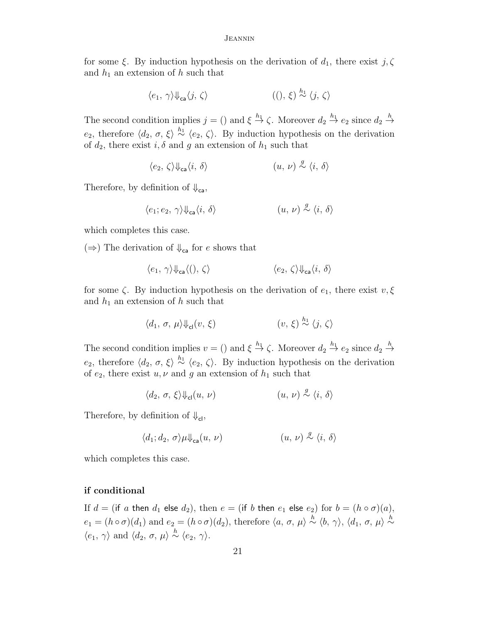for some  $\xi$ . By induction hypothesis on the derivation of  $d_1$ , there exist  $j, \zeta$ and  $h_1$  an extension of h such that

$$
\langle e_1, \gamma \rangle \psi_{\mathsf{ca}} \langle j, \zeta \rangle \tag{0, \xi} \stackrel{h_1}{\sim} \langle j, \zeta \rangle
$$

The second condition implies  $j = ()$  and  $\xi \stackrel{h_1}{\to} \zeta$ . Moreover  $d_2 \stackrel{h_1}{\to} e_2$  since  $d_2 \stackrel{h}{\to}$ e<sub>2</sub>, therefore  $\langle d_2, \sigma, \xi \rangle \stackrel{h_1}{\sim} \langle e_2, \zeta \rangle$ . By induction hypothesis on the derivation of  $d_2$ , there exist  $i, \delta$  and g an extension of  $h_1$  such that

$$
\langle e_2, \zeta \rangle \Psi_{\text{ca}} \langle i, \delta \rangle \qquad \qquad (u, \nu) \stackrel{g}{\sim} \langle i, \delta \rangle
$$

Therefore, by definition of  $\Downarrow_{\mathsf{ca}}$ ,

$$
\langle e_1; e_2, \, \gamma \rangle \Downarrow_{\mathsf{ca}} \langle i, \, \delta \rangle \tag{$u, \, \nu$} \overset{g}{\sim} \langle i, \, \delta \rangle
$$

which completes this case.

 $(\Rightarrow)$  The derivation of  $\downarrow_{\mathsf{ca}}$  for e shows that

$$
\langle e_1, \gamma \rangle \psi_{\text{ca}} \langle (), \zeta \rangle \qquad \qquad \langle e_2, \zeta \rangle \psi_{\text{ca}} \langle i, \delta \rangle
$$

for some  $\zeta$ . By induction hypothesis on the derivation of  $e_1$ , there exist  $v, \xi$ and  $h_1$  an extension of h such that

$$
\langle d_1, \sigma, \mu \rangle \psi_{\mathsf{cl}}(v, \xi) \qquad \qquad (v, \xi) \stackrel{h_1}{\sim} \langle j, \zeta \rangle
$$

The second condition implies  $v = ()$  and  $\xi \stackrel{h_1}{\to} \zeta$ . Moreover  $d_2 \stackrel{h_1}{\to} e_2$  since  $d_2 \stackrel{h}{\to}$ e<sub>2</sub>, therefore  $\langle d_2, \sigma, \xi \rangle \stackrel{h_1}{\sim} \langle e_2, \zeta \rangle$ . By induction hypothesis on the derivation of  $e_2$ , there exist  $u, v$  and g an extension of  $h_1$  such that

$$
\langle d_2, \sigma, \xi \rangle \psi_{\rm cl}(u, \nu) \qquad \qquad (u, \nu) \stackrel{g}{\sim} \langle i, \delta \rangle
$$

Therefore, by definition of  $\downarrow$ <sub>cl</sub>,

$$
\langle d_1; d_2, \sigma \rangle \mu \Downarrow_{\mathsf{ca}} (u, \, \nu) \tag{$u, \, \nu$} \overset{g}{\sim} \langle i, \, \delta \rangle
$$

which completes this case.

## if conditional

If  $d = ($ if a then  $d_1$  else  $d_2$ ), then  $e = ($ if b then  $e_1$  else  $e_2$ ) for  $b = (h \circ \sigma)(a)$ ,  $e_1 = (h \circ \sigma)(d_1)$  and  $e_2 = (h \circ \sigma)(d_2)$ , therefore  $\langle a, \sigma, \mu \rangle \stackrel{h}{\sim} \langle b, \gamma \rangle$ ,  $\langle d_1, \sigma, \mu \rangle \stackrel{h}{\sim}$  $\langle e_1, \gamma \rangle$  and  $\langle d_2, \sigma, \mu \rangle \stackrel{h}{\sim} \langle e_2, \gamma \rangle$ .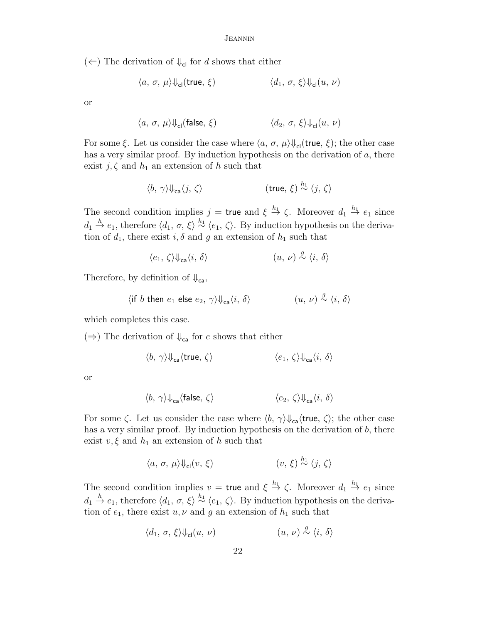(←) The derivation of  $\Downarrow$ <sub>cl</sub> for d shows that either

$$
\langle a, \sigma, \mu \rangle \psi_{\mathsf{cl}}(\mathsf{true}, \xi) \qquad \qquad \langle d_1, \sigma, \xi \rangle \psi_{\mathsf{cl}}(u, \nu)
$$

or

$$
\langle a, \sigma, \mu \rangle \psi_{\mathsf{cl}}(\mathsf{false}, \xi) \qquad \qquad \langle d_2, \sigma, \xi \rangle \psi_{\mathsf{cl}}(u, \nu)
$$

For some  $\xi$ . Let us consider the case where  $\langle a, \sigma, \mu \rangle \psi_{cl}(\mathsf{true}, \xi)$ ; the other case has a very similar proof. By induction hypothesis on the derivation of a, there exist  $j, \zeta$  and  $h_1$  an extension of h such that

$$
\langle b, \, \gamma \rangle \Downarrow_{\mathsf{ca}} \langle j, \, \zeta \rangle \qquad \qquad (\mathsf{true}, \, \xi) \stackrel{h_1}{\sim} \langle j, \, \zeta \rangle
$$

The second condition implies  $j = \text{true}$  and  $\xi \stackrel{h_1}{\to} \zeta$ . Moreover  $d_1 \stackrel{h_1}{\to} e_1$  since  $d_1 \stackrel{h}{\to} e_1$ , therefore  $\langle d_1, \sigma, \xi \rangle \stackrel{h_1}{\sim} \langle e_1, \zeta \rangle$ . By induction hypothesis on the derivation of  $d_1$ , there exist  $i, \delta$  and g an extension of  $h_1$  such that

$$
\langle e_1, \zeta \rangle \Psi_{\text{ca}} \langle i, \delta \rangle \qquad (u, \nu) \stackrel{g}{\sim} \langle i, \delta \rangle
$$

Therefore, by definition of  $\Downarrow_{\mathsf{ca}}$ ,

$$
\langle \text{if } b \text{ then } e_1 \text{ else } e_2, \gamma \rangle \Downarrow_{\text{ca}} \langle i, \delta \rangle \qquad (u, v) \stackrel{g}{\sim} \langle i, \delta \rangle
$$

which completes this case.

 $(\Rightarrow)$  The derivation of  $\downarrow_{\mathsf{ca}}$  for e shows that either

$$
\langle b, \, \gamma \rangle \Downarrow_{\mathsf{ca}} \langle \mathsf{true}, \, \zeta \rangle \qquad \qquad \langle e_1, \, \zeta \rangle \Downarrow_{\mathsf{ca}} \langle i, \, \delta \rangle
$$

or

$$
\langle b,\ \gamma \rangle \Downarrow_{\mathrm{ca}} \langle \mathrm{false},\ \zeta \rangle \qquad \qquad \langle e_2,\ \zeta \rangle \Downarrow_{\mathrm{ca}} \langle i,\ \delta \rangle
$$

For some  $\zeta$ . Let us consider the case where  $\langle b, \gamma \rangle \psi_{ca}$  (true,  $\zeta$ ); the other case has a very similar proof. By induction hypothesis on the derivation of  $b$ , there exist  $v, \xi$  and  $h_1$  an extension of h such that

$$
\langle a, \sigma, \mu \rangle \psi_{\text{cl}}(v, \xi) \qquad \qquad (v, \xi) \stackrel{h_1}{\sim} \langle j, \zeta \rangle
$$

The second condition implies  $v = \text{true}$  and  $\xi \stackrel{h_1}{\to} \zeta$ . Moreover  $d_1 \stackrel{h_1}{\to} e_1$  since  $d_1 \stackrel{h}{\to} e_1$ , therefore  $\langle d_1, \sigma, \xi \rangle \stackrel{h_1}{\sim} \langle e_1, \zeta \rangle$ . By induction hypothesis on the derivation of  $e_1$ , there exist  $u, v$  and g an extension of  $h_1$  such that

$$
\langle d_1, \sigma, \xi \rangle \psi_{\mathsf{cl}}(u, \nu) \tag{u, \nu} \overset{g}{\sim} \langle i, \delta \rangle
$$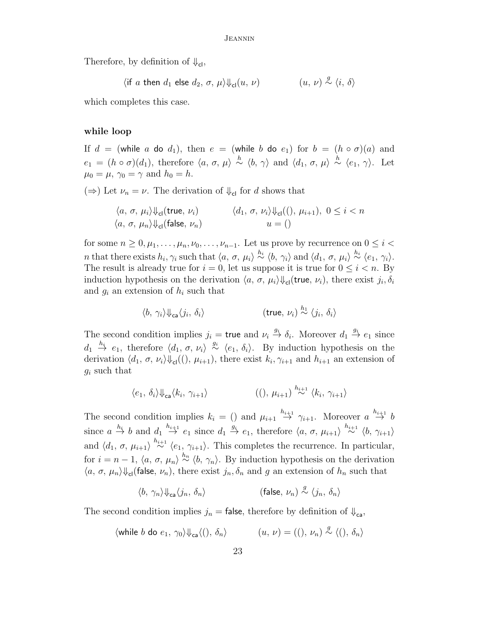Therefore, by definition of  $\Downarrow_{\text{cl}}$ ,

 $\langle$  if a then  $d_1$  else  $d_2$ ,  $\sigma$ ,  $\mu$  $\rangle \Downarrow_{cl}(u, \nu)$  $\stackrel{g}{\sim} \langle i, \delta \rangle$ 

which completes this case.

## while loop

If  $d = ($ while a do  $d_1$ ), then  $e = ($ while b do  $e_1$ ) for  $b = (h \circ \sigma)(a)$  and  $e_1 = (h \circ \sigma)(d_1)$ , therefore  $\langle a, \sigma, \mu \rangle \stackrel{h}{\sim} \langle b, \gamma \rangle$  and  $\langle d_1, \sigma, \mu \rangle \stackrel{h}{\sim} \langle e_1, \gamma \rangle$ . Let  $\mu_0 = \mu$ ,  $\gamma_0 = \gamma$  and  $h_0 = h$ .

 $(\Rightarrow)$  Let  $\nu_n = \nu$ . The derivation of  $\psi_{\text{cl}}$  for d shows that

$$
\langle a, \sigma, \mu_i \rangle \psi_{\text{cl}}(\text{true}, \nu_i) \qquad \langle d_1, \sigma, \nu_i \rangle \psi_{\text{cl}}((), \mu_{i+1}), \ 0 \le i < n
$$
\n
$$
\langle a, \sigma, \mu_n \rangle \psi_{\text{cl}}(\text{false}, \nu_n) \qquad \qquad u = ()
$$

for some  $n \geq 0, \mu_1, \ldots, \mu_n, \nu_0, \ldots, \nu_{n-1}$ . Let us prove by recurrence on  $0 \leq i <$ *n* that there exists  $h_i, \gamma_i$  such that  $\langle a, \sigma, \mu_i \rangle \stackrel{h_i}{\sim} \langle b, \gamma_i \rangle$  and  $\langle d_1, \sigma, \mu_i \rangle \stackrel{h_i}{\sim} \langle e_1, \gamma_i \rangle$ . The result is already true for  $i = 0$ , let us suppose it is true for  $0 \leq i \leq n$ . By induction hypothesis on the derivation  $\langle a, \sigma, \mu_i \rangle \psi_{\text{cl}}(\text{true}, \nu_i)$ , there exist  $j_i, \delta_i$ and  $g_i$  an extension of  $h_i$  such that

$$
\langle b, \gamma_i \rangle \Downarrow_{\text{ca}} \langle j_i, \delta_i \rangle \qquad \qquad (\text{true}, \nu_i) \stackrel{h_1}{\sim} \langle j_i, \delta_i \rangle
$$

The second condition implies  $j_i = \text{true}$  and  $\nu_i \stackrel{g_i}{\rightarrow} \delta_i$ . Moreover  $d_1 \stackrel{g_i}{\rightarrow} e_1$  since  $d_1 \stackrel{h_i}{\rightarrow} e_1$ , therefore  $\langle d_1, \sigma, \nu_i \rangle \stackrel{g_i}{\sim} \langle e_1, \delta_i \rangle$ . By induction hypothesis on the derivation  $\langle d_1, \sigma, \nu_i \rangle \Downarrow_{\text{cl}}((), \mu_{i+1}),$  there exist  $k_i, \gamma_{i+1}$  and  $h_{i+1}$  an extension of  $g_i$  such that

$$
\langle e_1, \, \delta_i \rangle \Downarrow_{\mathsf{ca}} \langle k_i, \, \gamma_{i+1} \rangle \tag{(), } \, \mu_{i+1} \rangle \stackrel{h_{i+1}}{\sim} \langle k_i, \, \gamma_{i+1} \rangle
$$

The second condition implies  $k_i = ()$  and  $\mu_{i+1} \stackrel{h_{i+1}}{\rightarrow} \gamma_{i+1}$ . Moreover  $a \stackrel{h_{i+1}}{\rightarrow} b$ since  $a \stackrel{h_i}{\rightarrow} b$  and  $d_1 \stackrel{h_{i+1}}{\rightarrow} e_1$  since  $d_1 \stackrel{g_i}{\rightarrow} e_1$ , therefore  $\langle a, \sigma, \mu_{i+1} \rangle \stackrel{h_{i+1}}{\sim} \langle b, \gamma_{i+1} \rangle$ and  $\langle d_1, \sigma, \mu_{i+1} \rangle \stackrel{h_{i+1}}{\sim} \langle e_1, \gamma_{i+1} \rangle$ . This completes the recurrence. In particular, for  $i = n - 1$ ,  $\langle a, \sigma, \mu_n \rangle \stackrel{h_n}{\sim} \langle b, \gamma_n \rangle$ . By induction hypothesis on the derivation  $\langle a, \sigma, \mu_n \rangle \psi_{\text{cl}}$ (false,  $\nu_n$ ), there exist  $j_n, \delta_n$  and g an extension of  $h_n$  such that

$$
\langle b,\ \gamma_n \rangle \!\Downarrow_{\mathtt{ca}} \langle j_n,\ \delta_n \rangle \qquad \qquad \text{(false, $\nu_n$)} \stackrel{g}{\sim} \langle j_n,\ \delta_n \rangle
$$

The second condition implies  $j_n =$  false, therefore by definition of  $\psi_{\text{ca}}$ ,

$$
\langle \text{while } b \text{ do } e_1, \gamma_0 \rangle \Downarrow_{\text{ca}} \langle (), \delta_n \rangle \qquad (u, v) = ((), \nu_n) \stackrel{g}{\sim} \langle (), \delta_n \rangle
$$